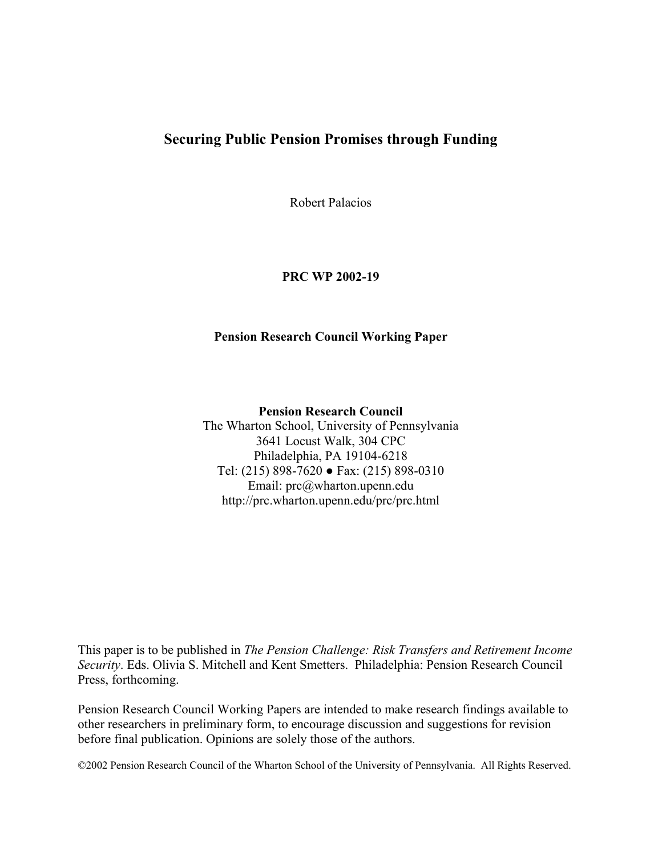# **Securing Public Pension Promises through Funding**

Robert Palacios

**PRC WP 2002-19** 

## **Pension Research Council Working Paper**

**Pension Research Council**  The Wharton School, University of Pennsylvania 3641 Locust Walk, 304 CPC Philadelphia, PA 19104-6218 Tel: (215) 898-7620 ● Fax: (215) 898-0310 Email: prc@wharton.upenn.edu http://prc.wharton.upenn.edu/prc/prc.html

This paper is to be published in *The Pension Challenge: Risk Transfers and Retirement Income Security*. Eds. Olivia S. Mitchell and Kent Smetters.Philadelphia: Pension Research Council Press, forthcoming.

Pension Research Council Working Papers are intended to make research findings available to other researchers in preliminary form, to encourage discussion and suggestions for revision before final publication. Opinions are solely those of the authors.

©2002 Pension Research Council of the Wharton School of the University of Pennsylvania. All Rights Reserved.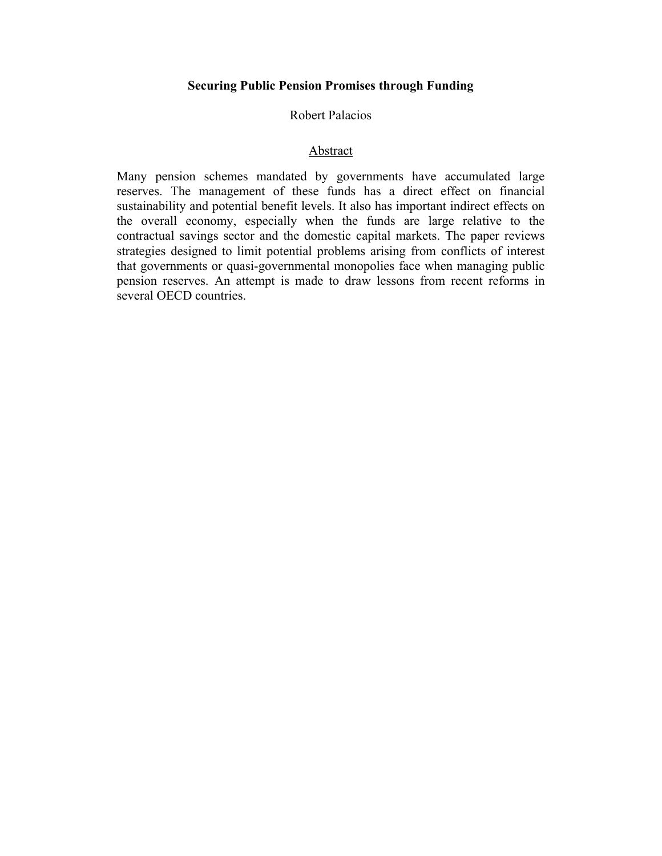# **Securing Public Pension Promises through Funding**

# Robert Palacios

## Abstract

Many pension schemes mandated by governments have accumulated large reserves. The management of these funds has a direct effect on financial sustainability and potential benefit levels. It also has important indirect effects on the overall economy, especially when the funds are large relative to the contractual savings sector and the domestic capital markets. The paper reviews strategies designed to limit potential problems arising from conflicts of interest that governments or quasi-governmental monopolies face when managing public pension reserves. An attempt is made to draw lessons from recent reforms in several OECD countries.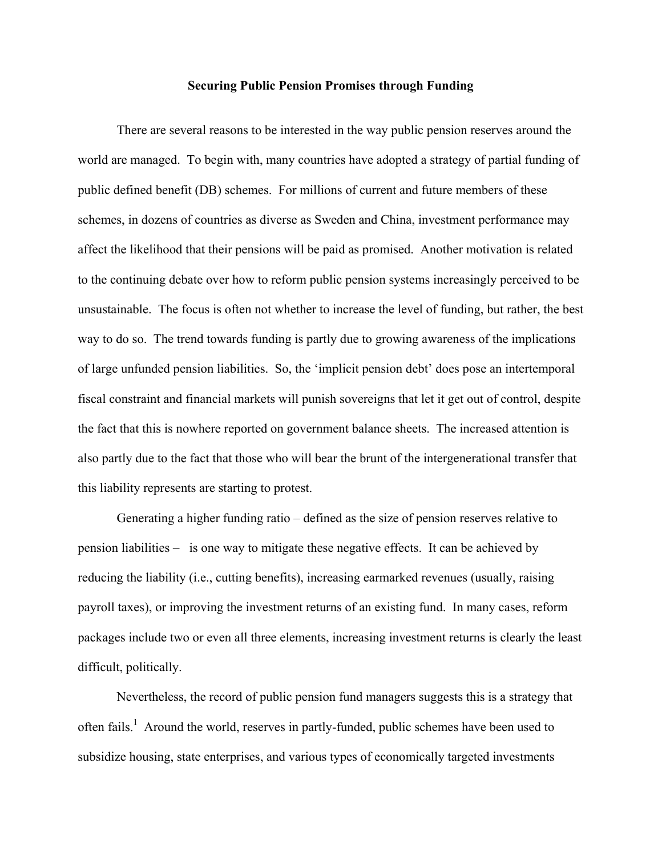#### **Securing Public Pension Promises through Funding**

There are several reasons to be interested in the way public pension reserves around the world are managed. To begin with, many countries have adopted a strategy of partial funding of public defined benefit (DB) schemes. For millions of current and future members of these schemes, in dozens of countries as diverse as Sweden and China, investment performance may affect the likelihood that their pensions will be paid as promised. Another motivation is related to the continuing debate over how to reform public pension systems increasingly perceived to be unsustainable. The focus is often not whether to increase the level of funding, but rather, the best way to do so. The trend towards funding is partly due to growing awareness of the implications of large unfunded pension liabilities. So, the 'implicit pension debt' does pose an intertemporal fiscal constraint and financial markets will punish sovereigns that let it get out of control, despite the fact that this is nowhere reported on government balance sheets. The increased attention is also partly due to the fact that those who will bear the brunt of the intergenerational transfer that this liability represents are starting to protest.

Generating a higher funding ratio – defined as the size of pension reserves relative to pension liabilities – is one way to mitigate these negative effects. It can be achieved by reducing the liability (i.e., cutting benefits), increasing earmarked revenues (usually, raising payroll taxes), or improving the investment returns of an existing fund. In many cases, reform packages include two or even all three elements, increasing investment returns is clearly the least difficult, politically.

Nevertheless, the record of public pension fund managers suggests this is a strategy that often fails.<sup>1</sup> Around the world, reserves in partly-funded, public schemes have been used to subsidize housing, state enterprises, and various types of economically targeted investments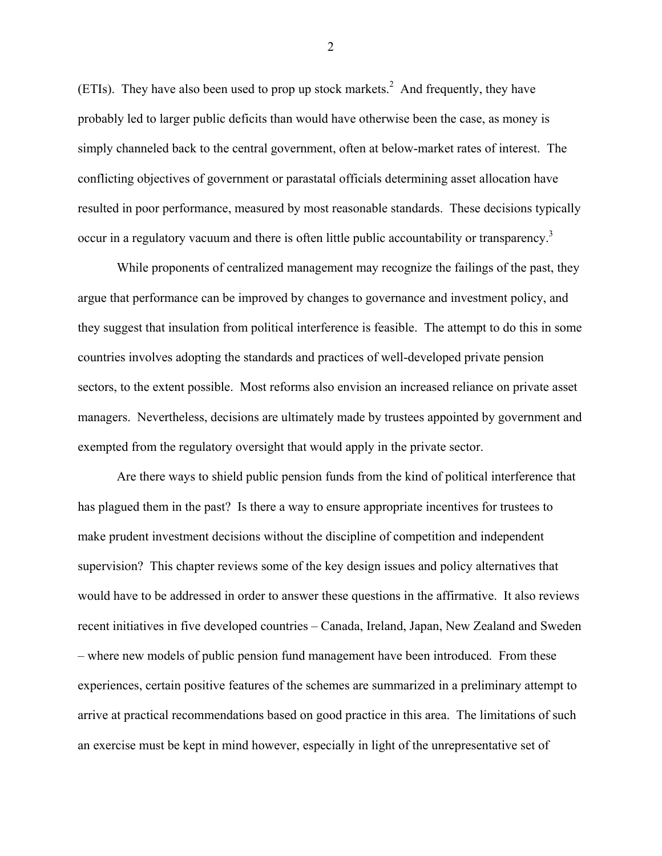(ETIs). They have also been used to prop up stock markets.<sup>[2](#page-54-1)</sup> And frequently, they have probably led to larger public deficits than would have otherwise been the case, as money is simply channeled back to the central government, often at below-market rates of interest. The conflicting objectives of government or parastatal officials determining asset allocation have resulted in poor performance, measured by most reasonable standards. These decisions typically occur in a regulatory vacuum and there is often little public accountability or transparency.<sup>[3](#page-54-2)</sup>

While proponents of centralized management may recognize the failings of the past, they argue that performance can be improved by changes to governance and investment policy, and they suggest that insulation from political interference is feasible. The attempt to do this in some countries involves adopting the standards and practices of well-developed private pension sectors, to the extent possible. Most reforms also envision an increased reliance on private asset managers. Nevertheless, decisions are ultimately made by trustees appointed by government and exempted from the regulatory oversight that would apply in the private sector.

Are there ways to shield public pension funds from the kind of political interference that has plagued them in the past? Is there a way to ensure appropriate incentives for trustees to make prudent investment decisions without the discipline of competition and independent supervision? This chapter reviews some of the key design issues and policy alternatives that would have to be addressed in order to answer these questions in the affirmative. It also reviews recent initiatives in five developed countries – Canada, Ireland, Japan, New Zealand and Sweden – where new models of public pension fund management have been introduced. From these experiences, certain positive features of the schemes are summarized in a preliminary attempt to arrive at practical recommendations based on good practice in this area. The limitations of such an exercise must be kept in mind however, especially in light of the unrepresentative set of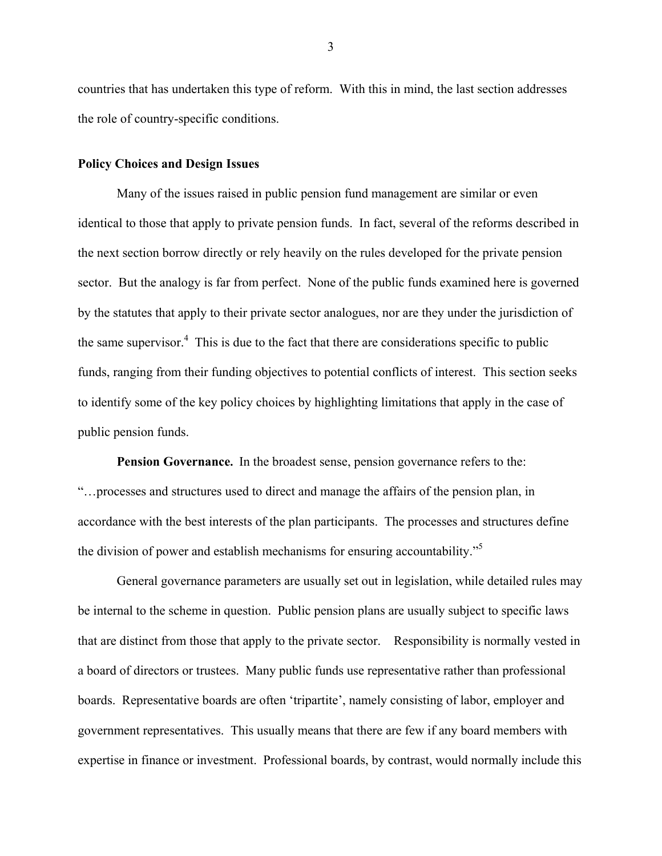countries that has undertaken this type of reform. With this in mind, the last section addresses the role of country-specific conditions.

#### **Policy Choices and Design Issues**

Many of the issues raised in public pension fund management are similar or even identical to those that apply to private pension funds. In fact, several of the reforms described in the next section borrow directly or rely heavily on the rules developed for the private pension sector. But the analogy is far from perfect. None of the public funds examined here is governed by the statutes that apply to their private sector analogues, nor are they under the jurisdiction of the same supervisor.<sup>4</sup> This is due to the fact that there are considerations specific to public funds, ranging from their funding objectives to potential conflicts of interest. This section seeks to identify some of the key policy choices by highlighting limitations that apply in the case of public pension funds.

**Pension Governance.** In the broadest sense, pension governance refers to the: "…processes and structures used to direct and manage the affairs of the pension plan, in accordance with the best interests of the plan participants. The processes and structures define the division of power and establish mechanisms for ensuring accountability."<sup>[5](#page-54-4)</sup>

General governance parameters are usually set out in legislation, while detailed rules may be internal to the scheme in question. Public pension plans are usually subject to specific laws that are distinct from those that apply to the private sector. Responsibility is normally vested in a board of directors or trustees. Many public funds use representative rather than professional boards. Representative boards are often 'tripartite', namely consisting of labor, employer and government representatives. This usually means that there are few if any board members with expertise in finance or investment. Professional boards, by contrast, would normally include this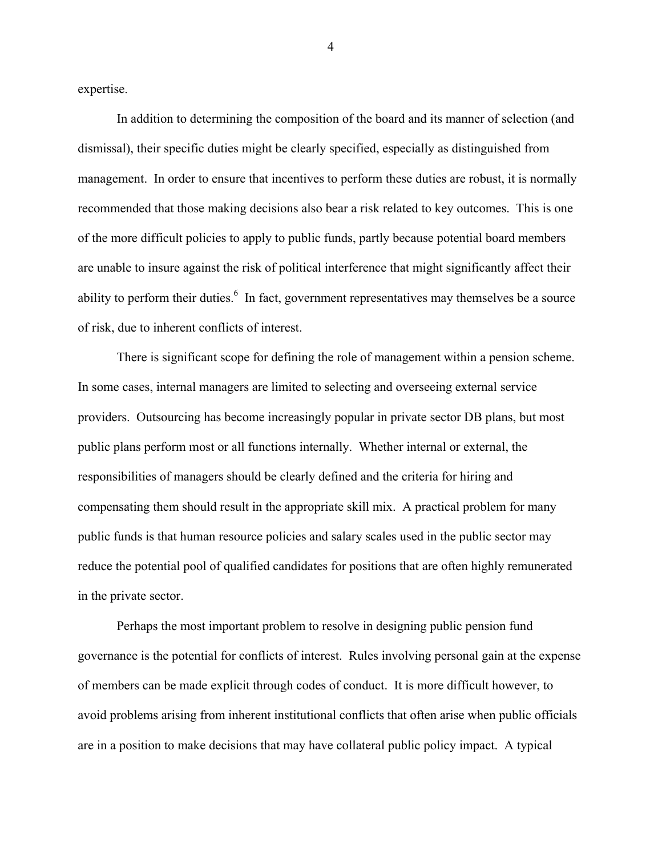expertise.

In addition to determining the composition of the board and its manner of selection (and dismissal), their specific duties might be clearly specified, especially as distinguished from management. In order to ensure that incentives to perform these duties are robust, it is normally recommended that those making decisions also bear a risk related to key outcomes. This is one of the more difficult policies to apply to public funds, partly because potential board members are unable to insure against the risk of political interference that might significantly affect their ability to perform their duties.<sup>6</sup> In fact, government representatives may themselves be a source of risk, due to inherent conflicts of interest.

There is significant scope for defining the role of management within a pension scheme. In some cases, internal managers are limited to selecting and overseeing external service providers. Outsourcing has become increasingly popular in private sector DB plans, but most public plans perform most or all functions internally. Whether internal or external, the responsibilities of managers should be clearly defined and the criteria for hiring and compensating them should result in the appropriate skill mix. A practical problem for many public funds is that human resource policies and salary scales used in the public sector may reduce the potential pool of qualified candidates for positions that are often highly remunerated in the private sector.

Perhaps the most important problem to resolve in designing public pension fund governance is the potential for conflicts of interest. Rules involving personal gain at the expense of members can be made explicit through codes of conduct. It is more difficult however, to avoid problems arising from inherent institutional conflicts that often arise when public officials are in a position to make decisions that may have collateral public policy impact. A typical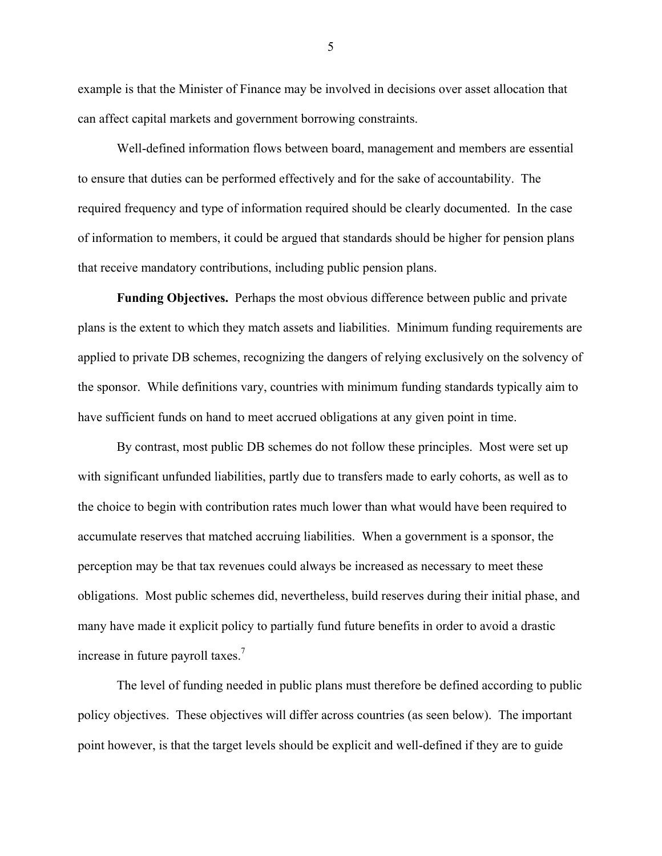example is that the Minister of Finance may be involved in decisions over asset allocation that can affect capital markets and government borrowing constraints.

Well-defined information flows between board, management and members are essential to ensure that duties can be performed effectively and for the sake of accountability. The required frequency and type of information required should be clearly documented. In the case of information to members, it could be argued that standards should be higher for pension plans that receive mandatory contributions, including public pension plans.

**Funding Objectives.** Perhaps the most obvious difference between public and private plans is the extent to which they match assets and liabilities. Minimum funding requirements are applied to private DB schemes, recognizing the dangers of relying exclusively on the solvency of the sponsor. While definitions vary, countries with minimum funding standards typically aim to have sufficient funds on hand to meet accrued obligations at any given point in time.

By contrast, most public DB schemes do not follow these principles. Most were set up with significant unfunded liabilities, partly due to transfers made to early cohorts, as well as to the choice to begin with contribution rates much lower than what would have been required to accumulate reserves that matched accruing liabilities. When a government is a sponsor, the perception may be that tax revenues could always be increased as necessary to meet these obligations. Most public schemes did, nevertheless, build reserves during their initial phase, and many have made it explicit policy to partially fund future benefits in order to avoid a drastic increase in future payroll taxes. $<sup>7</sup>$  $<sup>7</sup>$  $<sup>7</sup>$ </sup>

The level of funding needed in public plans must therefore be defined according to public policy objectives. These objectives will differ across countries (as seen below). The important point however, is that the target levels should be explicit and well-defined if they are to guide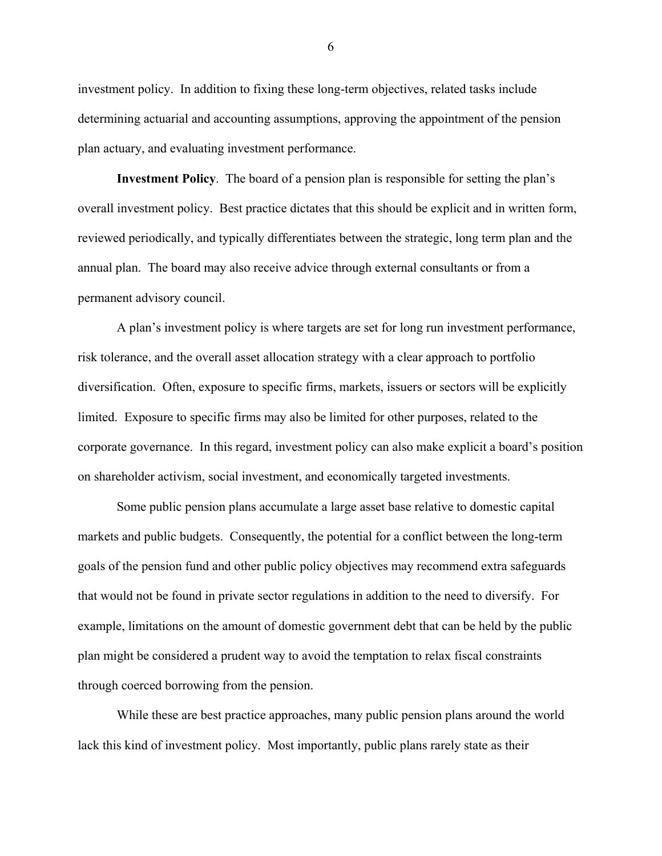investment policy. In addition to fixing these long-term objectives, related tasks include determining actuarial and accounting assumptions, approving the appointment of the pension plan actuary, and evaluating investment performance.

**Investment Policy**. The board of a pension plan is responsible for setting the plan's overall investment policy. Best practice dictates that this should be explicit and in written form, reviewed periodically, and typically differentiates between the strategic, long term plan and the annual plan. The board may also receive advice through external consultants or from a permanent advisory council.

A plan's investment policy is where targets are set for long run investment performance, risk tolerance, and the overall asset allocation strategy with a clear approach to portfolio diversification. Often, exposure to specific firms, markets, issuers or sectors will be explicitly limited. Exposure to specific firms may also be limited for other purposes, related to the corporate governance. In this regard, investment policy can also make explicit a board's position on shareholder activism, social investment, and economically targeted investments.

Some public pension plans accumulate a large asset base relative to domestic capital markets and public budgets. Consequently, the potential for a conflict between the long-term goals of the pension fund and other public policy objectives may recommend extra safeguards that would not be found in private sector regulations in addition to the need to diversify. For example, limitations on the amount of domestic government debt that can be held by the public plan might be considered a prudent way to avoid the temptation to relax fiscal constraints through coerced borrowing from the pension.

While these are best practice approaches, many public pension plans around the world lack this kind of investment policy. Most importantly, public plans rarely state as their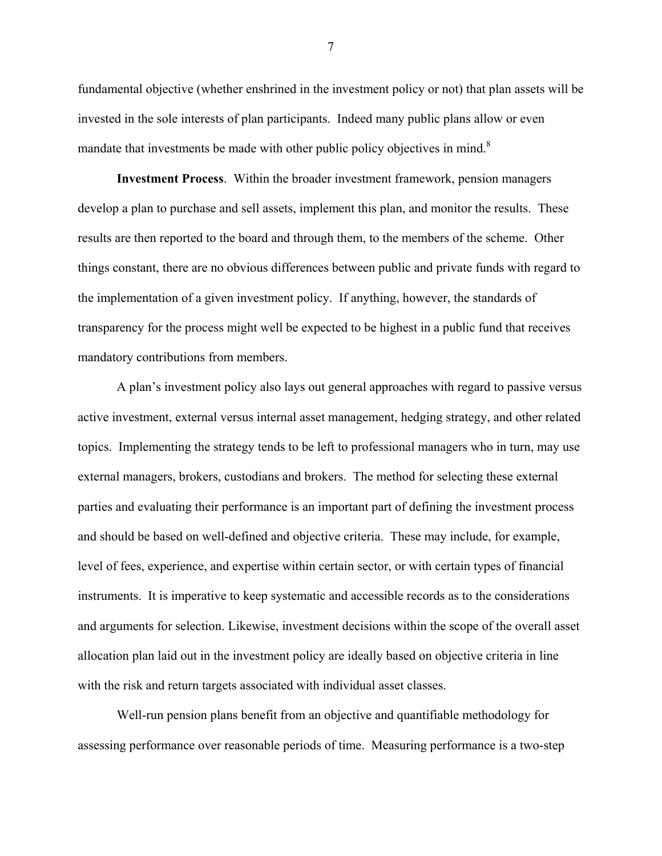fundamental objective (whether enshrined in the investment policy or not) that plan assets will be invested in the sole interests of plan participants. Indeed many public plans allow or even mandate that investments be made with other public policy objectives in mind.<sup>[8](#page-54-7)</sup>

**Investment Process**. Within the broader investment framework, pension managers develop a plan to purchase and sell assets, implement this plan, and monitor the results. These results are then reported to the board and through them, to the members of the scheme. Other things constant, there are no obvious differences between public and private funds with regard to the implementation of a given investment policy. If anything, however, the standards of transparency for the process might well be expected to be highest in a public fund that receives mandatory contributions from members.

A plan's investment policy also lays out general approaches with regard to passive versus active investment, external versus internal asset management, hedging strategy, and other related topics. Implementing the strategy tends to be left to professional managers who in turn, may use external managers, brokers, custodians and brokers. The method for selecting these external parties and evaluating their performance is an important part of defining the investment process and should be based on well-defined and objective criteria. These may include, for example, level of fees, experience, and expertise within certain sector, or with certain types of financial instruments. It is imperative to keep systematic and accessible records as to the considerations and arguments for selection. Likewise, investment decisions within the scope of the overall asset allocation plan laid out in the investment policy are ideally based on objective criteria in line with the risk and return targets associated with individual asset classes.

Well-run pension plans benefit from an objective and quantifiable methodology for assessing performance over reasonable periods of time. Measuring performance is a two-step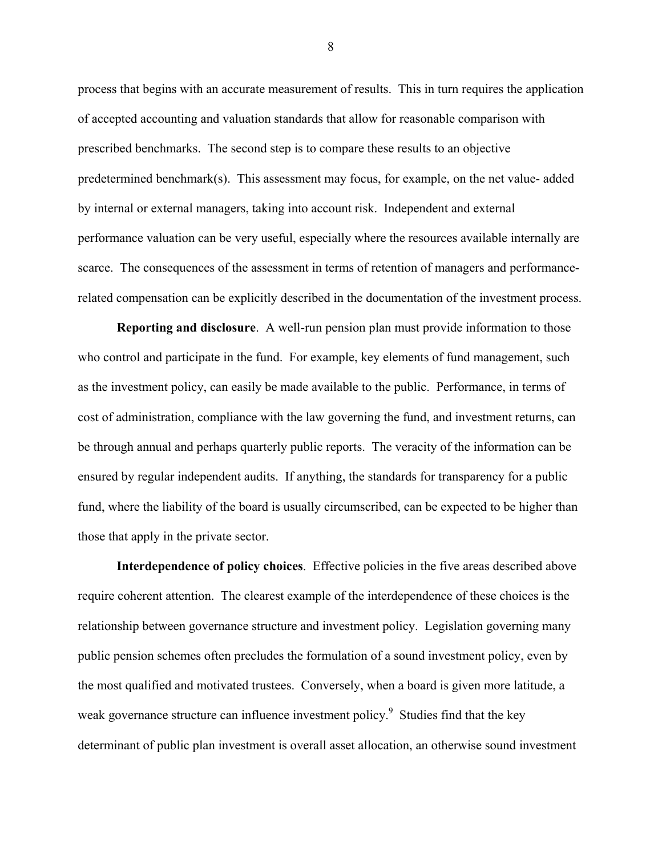process that begins with an accurate measurement of results. This in turn requires the application of accepted accounting and valuation standards that allow for reasonable comparison with prescribed benchmarks. The second step is to compare these results to an objective predetermined benchmark(s). This assessment may focus, for example, on the net value- added by internal or external managers, taking into account risk. Independent and external performance valuation can be very useful, especially where the resources available internally are scarce. The consequences of the assessment in terms of retention of managers and performancerelated compensation can be explicitly described in the documentation of the investment process.

**Reporting and disclosure**. A well-run pension plan must provide information to those who control and participate in the fund. For example, key elements of fund management, such as the investment policy, can easily be made available to the public. Performance, in terms of cost of administration, compliance with the law governing the fund, and investment returns, can be through annual and perhaps quarterly public reports. The veracity of the information can be ensured by regular independent audits. If anything, the standards for transparency for a public fund, where the liability of the board is usually circumscribed, can be expected to be higher than those that apply in the private sector.

**Interdependence of policy choices**. Effective policies in the five areas described above require coherent attention. The clearest example of the interdependence of these choices is the relationship between governance structure and investment policy. Legislation governing many public pension schemes often precludes the formulation of a sound investment policy, even by the most qualified and motivated trustees. Conversely, when a board is given more latitude, a weak governance structure can influence investment policy.<sup>[9](#page-54-8)</sup> Studies find that the key determinant of public plan investment is overall asset allocation, an otherwise sound investment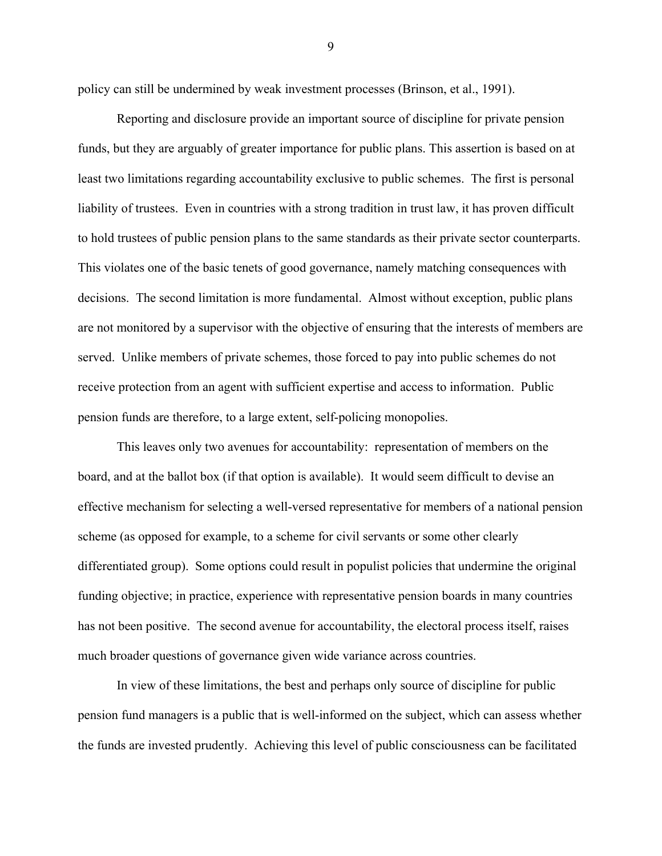policy can still be undermined by weak investment processes (Brinson, et al., 1991).

Reporting and disclosure provide an important source of discipline for private pension funds, but they are arguably of greater importance for public plans. This assertion is based on at least two limitations regarding accountability exclusive to public schemes. The first is personal liability of trustees. Even in countries with a strong tradition in trust law, it has proven difficult to hold trustees of public pension plans to the same standards as their private sector counterparts. This violates one of the basic tenets of good governance, namely matching consequences with decisions. The second limitation is more fundamental. Almost without exception, public plans are not monitored by a supervisor with the objective of ensuring that the interests of members are served. Unlike members of private schemes, those forced to pay into public schemes do not receive protection from an agent with sufficient expertise and access to information. Public pension funds are therefore, to a large extent, self-policing monopolies.

This leaves only two avenues for accountability: representation of members on the board, and at the ballot box (if that option is available). It would seem difficult to devise an effective mechanism for selecting a well-versed representative for members of a national pension scheme (as opposed for example, to a scheme for civil servants or some other clearly differentiated group). Some options could result in populist policies that undermine the original funding objective; in practice, experience with representative pension boards in many countries has not been positive. The second avenue for accountability, the electoral process itself, raises much broader questions of governance given wide variance across countries.

In view of these limitations, the best and perhaps only source of discipline for public pension fund managers is a public that is well-informed on the subject, which can assess whether the funds are invested prudently. Achieving this level of public consciousness can be facilitated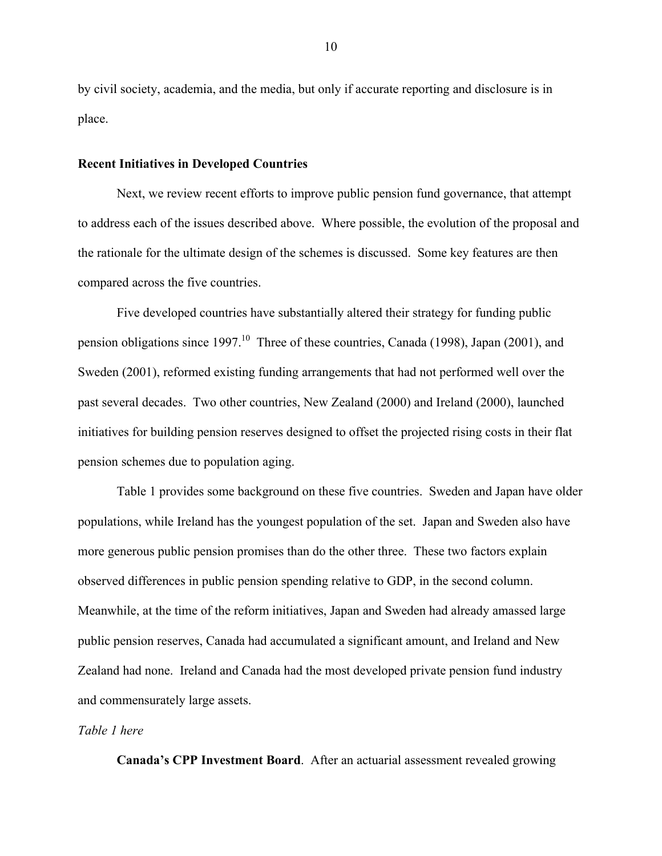by civil society, academia, and the media, but only if accurate reporting and disclosure is in place.

#### **Recent Initiatives in Developed Countries**

Next, we review recent efforts to improve public pension fund governance, that attempt to address each of the issues described above. Where possible, the evolution of the proposal and the rationale for the ultimate design of the schemes is discussed. Some key features are then compared across the five countries.

Five developed countries have substantially altered their strategy for funding public pension obligations since 1997.[10](#page-54-3) Three of these countries, Canada (1998), Japan (2001), and Sweden (2001), reformed existing funding arrangements that had not performed well over the past several decades. Two other countries, New Zealand (2000) and Ireland (2000), launched initiatives for building pension reserves designed to offset the projected rising costs in their flat pension schemes due to population aging.

Table 1 provides some background on these five countries. Sweden and Japan have older populations, while Ireland has the youngest population of the set. Japan and Sweden also have more generous public pension promises than do the other three. These two factors explain observed differences in public pension spending relative to GDP, in the second column. Meanwhile, at the time of the reform initiatives, Japan and Sweden had already amassed large public pension reserves, Canada had accumulated a significant amount, and Ireland and New Zealand had none. Ireland and Canada had the most developed private pension fund industry and commensurately large assets.

## *Table 1 here*

**Canada's CPP Investment Board**. After an actuarial assessment revealed growing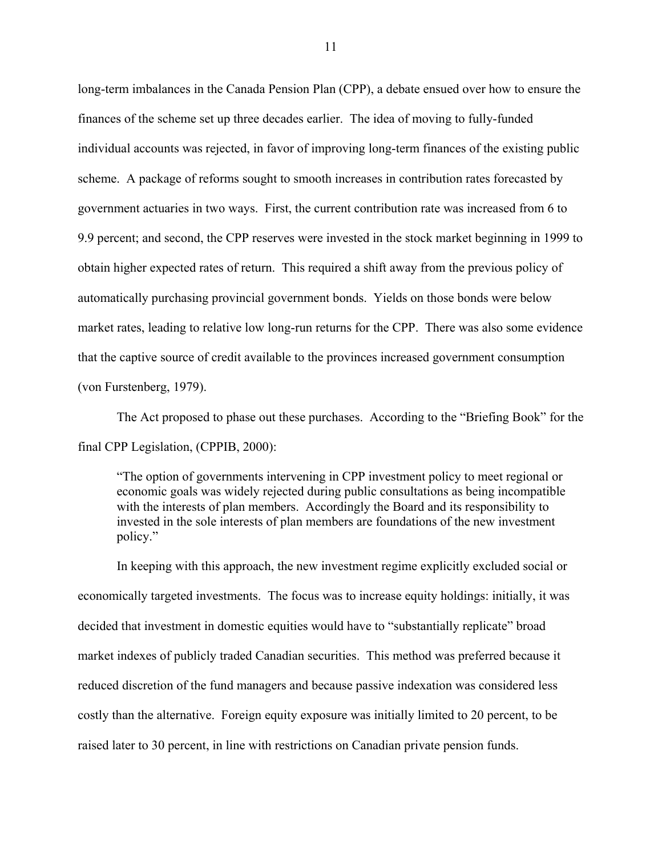long-term imbalances in the Canada Pension Plan (CPP), a debate ensued over how to ensure the finances of the scheme set up three decades earlier. The idea of moving to fully-funded individual accounts was rejected, in favor of improving long-term finances of the existing public scheme. A package of reforms sought to smooth increases in contribution rates forecasted by government actuaries in two ways. First, the current contribution rate was increased from 6 to 9.9 percent; and second, the CPP reserves were invested in the stock market beginning in 1999 to obtain higher expected rates of return. This required a shift away from the previous policy of automatically purchasing provincial government bonds. Yields on those bonds were below market rates, leading to relative low long-run returns for the CPP. There was also some evidence that the captive source of credit available to the provinces increased government consumption (von Furstenberg, 1979).

The Act proposed to phase out these purchases. According to the "Briefing Book" for the final CPP Legislation, (CPPIB, 2000):

"The option of governments intervening in CPP investment policy to meet regional or economic goals was widely rejected during public consultations as being incompatible with the interests of plan members. Accordingly the Board and its responsibility to invested in the sole interests of plan members are foundations of the new investment policy."

In keeping with this approach, the new investment regime explicitly excluded social or economically targeted investments. The focus was to increase equity holdings: initially, it was decided that investment in domestic equities would have to "substantially replicate" broad market indexes of publicly traded Canadian securities. This method was preferred because it reduced discretion of the fund managers and because passive indexation was considered less costly than the alternative. Foreign equity exposure was initially limited to 20 percent, to be raised later to 30 percent, in line with restrictions on Canadian private pension funds.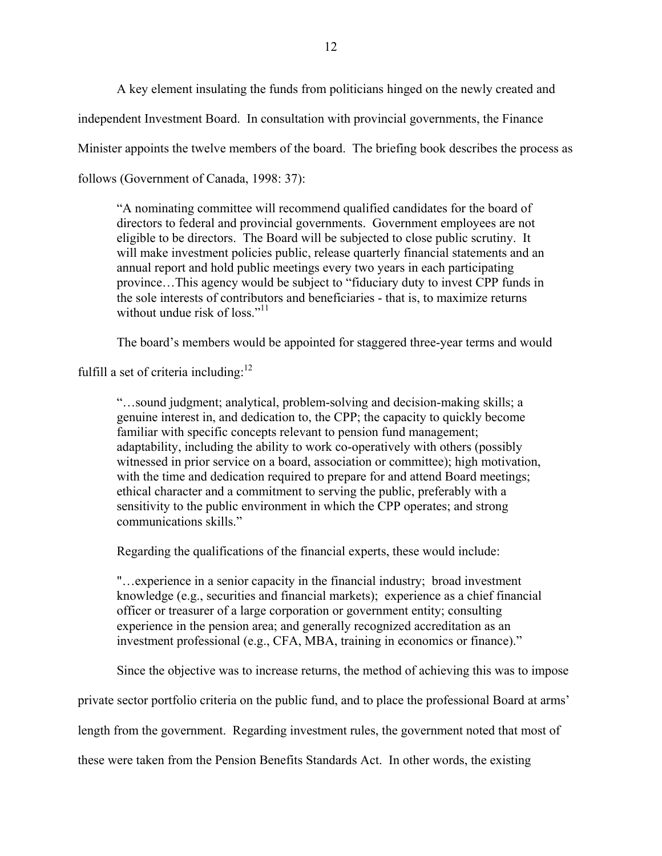A key element insulating the funds from politicians hinged on the newly created and independent Investment Board. In consultation with provincial governments, the Finance Minister appoints the twelve members of the board. The briefing book describes the process as follows (Government of Canada, 1998: 37):

"A nominating committee will recommend qualified candidates for the board of directors to federal and provincial governments. Government employees are not eligible to be directors. The Board will be subjected to close public scrutiny. It will make investment policies public, release quarterly financial statements and an annual report and hold public meetings every two years in each participating province…This agency would be subject to "fiduciary duty to invest CPP funds in the sole interests of contributors and beneficiaries - that is, to maximize returns without undue risk of loss."<sup>11</sup>

The board's members would be appointed for staggered three-year terms and would

fulfill a set of criteria including: $12$ 

"…sound judgment; analytical, problem-solving and decision-making skills; a genuine interest in, and dedication to, the CPP; the capacity to quickly become familiar with specific concepts relevant to pension fund management; adaptability, including the ability to work co-operatively with others (possibly witnessed in prior service on a board, association or committee); high motivation, with the time and dedication required to prepare for and attend Board meetings; ethical character and a commitment to serving the public, preferably with a sensitivity to the public environment in which the CPP operates; and strong communications skills."

Regarding the qualifications of the financial experts, these would include:

"…experience in a senior capacity in the financial industry; broad investment knowledge (e.g., securities and financial markets); experience as a chief financial officer or treasurer of a large corporation or government entity; consulting experience in the pension area; and generally recognized accreditation as an investment professional (e.g., CFA, MBA, training in economics or finance)."

Since the objective was to increase returns, the method of achieving this was to impose

private sector portfolio criteria on the public fund, and to place the professional Board at arms'

length from the government. Regarding investment rules, the government noted that most of

these were taken from the Pension Benefits Standards Act. In other words, the existing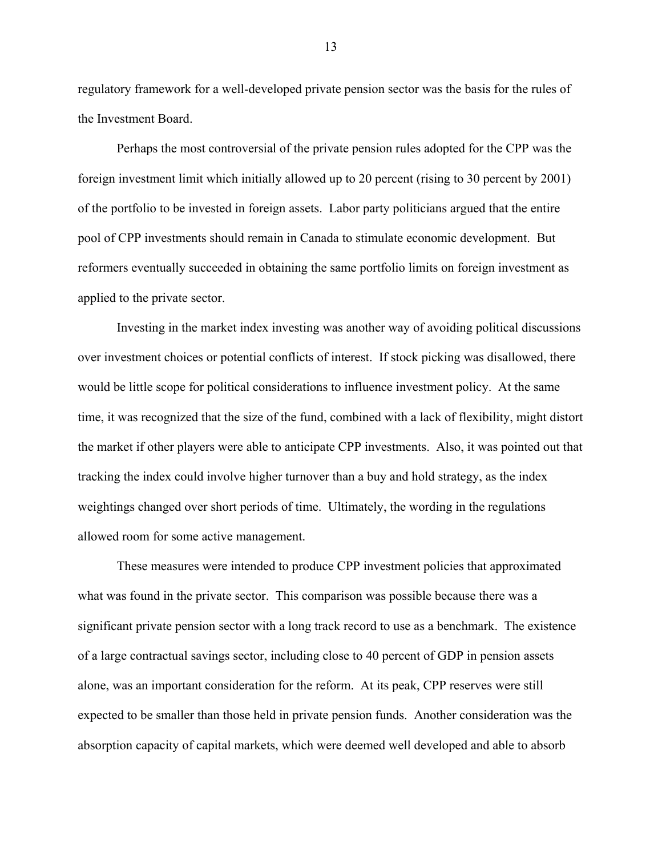regulatory framework for a well-developed private pension sector was the basis for the rules of the Investment Board.

Perhaps the most controversial of the private pension rules adopted for the CPP was the foreign investment limit which initially allowed up to 20 percent (rising to 30 percent by 2001) of the portfolio to be invested in foreign assets. Labor party politicians argued that the entire pool of CPP investments should remain in Canada to stimulate economic development. But reformers eventually succeeded in obtaining the same portfolio limits on foreign investment as applied to the private sector.

Investing in the market index investing was another way of avoiding political discussions over investment choices or potential conflicts of interest. If stock picking was disallowed, there would be little scope for political considerations to influence investment policy. At the same time, it was recognized that the size of the fund, combined with a lack of flexibility, might distort the market if other players were able to anticipate CPP investments. Also, it was pointed out that tracking the index could involve higher turnover than a buy and hold strategy, as the index weightings changed over short periods of time. Ultimately, the wording in the regulations allowed room for some active management.

These measures were intended to produce CPP investment policies that approximated what was found in the private sector. This comparison was possible because there was a significant private pension sector with a long track record to use as a benchmark. The existence of a large contractual savings sector, including close to 40 percent of GDP in pension assets alone, was an important consideration for the reform. At its peak, CPP reserves were still expected to be smaller than those held in private pension funds. Another consideration was the absorption capacity of capital markets, which were deemed well developed and able to absorb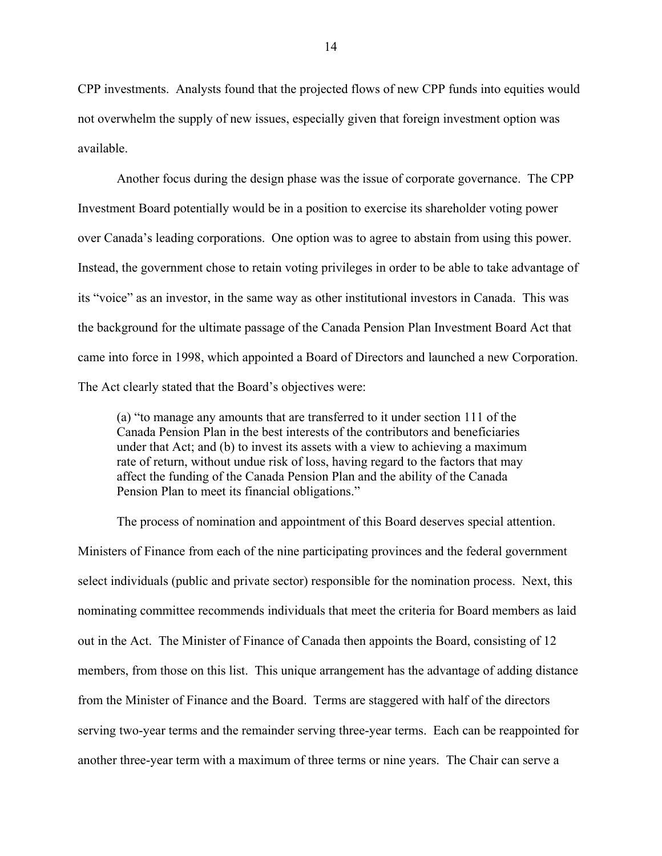CPP investments. Analysts found that the projected flows of new CPP funds into equities would not overwhelm the supply of new issues, especially given that foreign investment option was available.

Another focus during the design phase was the issue of corporate governance. The CPP Investment Board potentially would be in a position to exercise its shareholder voting power over Canada's leading corporations. One option was to agree to abstain from using this power. Instead, the government chose to retain voting privileges in order to be able to take advantage of its "voice" as an investor, in the same way as other institutional investors in Canada. This was the background for the ultimate passage of the Canada Pension Plan Investment Board Act that came into force in 1998, which appointed a Board of Directors and launched a new Corporation. The Act clearly stated that the Board's objectives were:

(a) "to manage any amounts that are transferred to it under section 111 of the Canada Pension Plan in the best interests of the contributors and beneficiaries under that Act; and (b) to invest its assets with a view to achieving a maximum rate of return, without undue risk of loss, having regard to the factors that may affect the funding of the Canada Pension Plan and the ability of the Canada Pension Plan to meet its financial obligations."

The process of nomination and appointment of this Board deserves special attention. Ministers of Finance from each of the nine participating provinces and the federal government select individuals (public and private sector) responsible for the nomination process. Next, this nominating committee recommends individuals that meet the criteria for Board members as laid out in the Act. The Minister of Finance of Canada then appoints the Board, consisting of 12 members, from those on this list. This unique arrangement has the advantage of adding distance from the Minister of Finance and the Board. Terms are staggered with half of the directors serving two-year terms and the remainder serving three-year terms. Each can be reappointed for another three-year term with a maximum of three terms or nine years. The Chair can serve a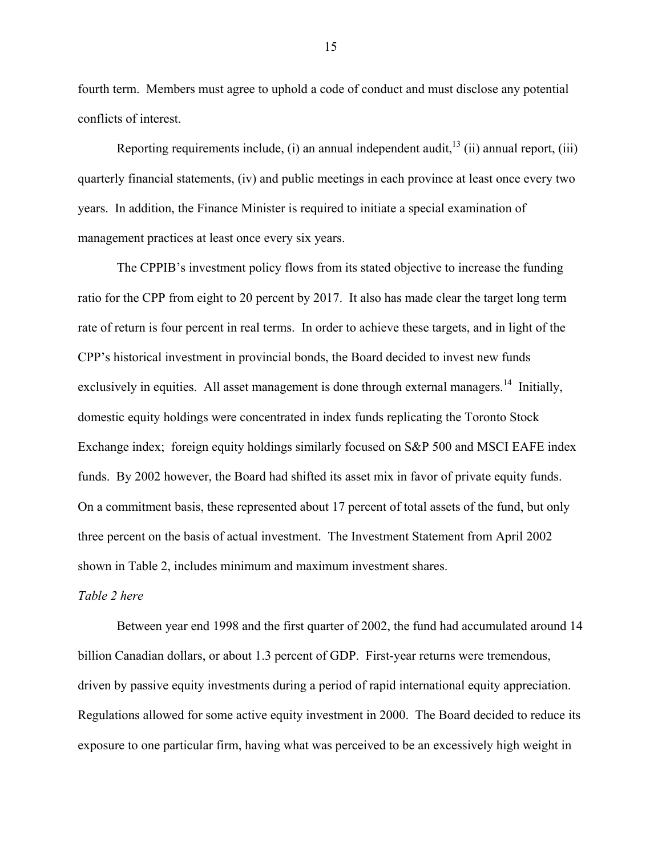fourth term. Members must agree to uphold a code of conduct and must disclose any potential conflicts of interest.

Reporting requirements include, (i) an annual independent audit,  $^{13}$  (ii) annual report, (iii) quarterly financial statements, (iv) and public meetings in each province at least once every two years. In addition, the Finance Minister is required to initiate a special examination of management practices at least once every six years.

The CPPIB's investment policy flows from its stated objective to increase the funding ratio for the CPP from eight to 20 percent by 2017. It also has made clear the target long term rate of return is four percent in real terms. In order to achieve these targets, and in light of the CPP's historical investment in provincial bonds, the Board decided to invest new funds exclusively in equities. All asset management is done through external managers.<sup>14</sup> Initially, domestic equity holdings were concentrated in index funds replicating the Toronto Stock Exchange index; foreign equity holdings similarly focused on S&P 500 and MSCI EAFE index funds. By 2002 however, the Board had shifted its asset mix in favor of private equity funds. On a commitment basis, these represented about 17 percent of total assets of the fund, but only three percent on the basis of actual investment. The Investment Statement from April 2002 shown in Table 2, includes minimum and maximum investment shares.

## *Table 2 here*

Between year end 1998 and the first quarter of 2002, the fund had accumulated around 14 billion Canadian dollars, or about 1.3 percent of GDP. First-year returns were tremendous, driven by passive equity investments during a period of rapid international equity appreciation. Regulations allowed for some active equity investment in 2000. The Board decided to reduce its exposure to one particular firm, having what was perceived to be an excessively high weight in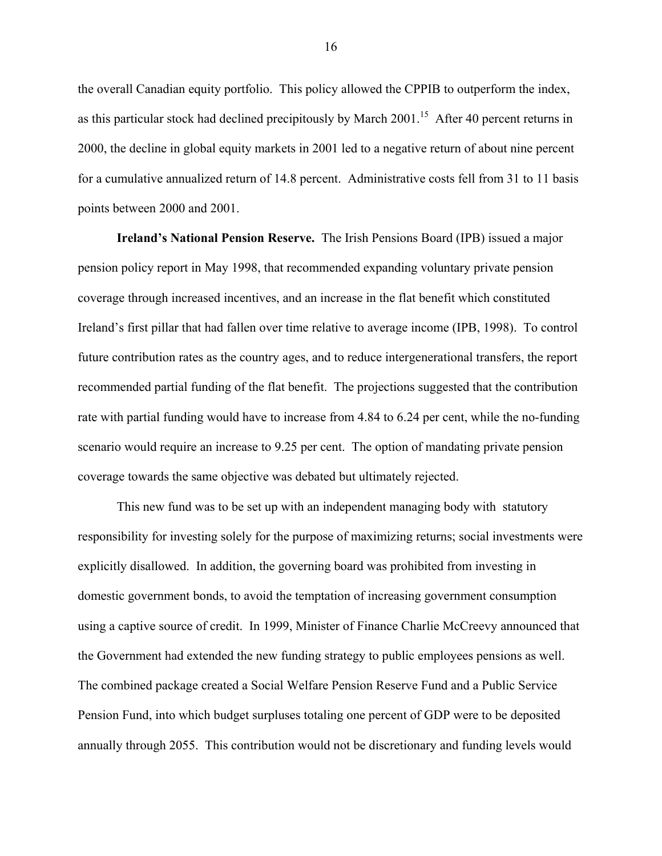the overall Canadian equity portfolio. This policy allowed the CPPIB to outperform the index, as this particular stock had declined precipitously by March 2001.<sup>15</sup> After 40 percent returns in 2000, the decline in global equity markets in 2001 led to a negative return of about nine percent for a cumulative annualized return of 14.8 percent. Administrative costs fell from 31 to 11 basis points between 2000 and 2001.

**Ireland's National Pension Reserve.** The Irish Pensions Board (IPB) issued a major pension policy report in May 1998, that recommended expanding voluntary private pension coverage through increased incentives, and an increase in the flat benefit which constituted Ireland's first pillar that had fallen over time relative to average income (IPB, 1998). To control future contribution rates as the country ages, and to reduce intergenerational transfers, the report recommended partial funding of the flat benefit. The projections suggested that the contribution rate with partial funding would have to increase from 4.84 to 6.24 per cent, while the no-funding scenario would require an increase to 9.25 per cent. The option of mandating private pension coverage towards the same objective was debated but ultimately rejected.

This new fund was to be set up with an independent managing body with statutory responsibility for investing solely for the purpose of maximizing returns; social investments were explicitly disallowed. In addition, the governing board was prohibited from investing in domestic government bonds, to avoid the temptation of increasing government consumption using a captive source of credit. In 1999, Minister of Finance Charlie McCreevy announced that the Government had extended the new funding strategy to public employees pensions as well. The combined package created a Social Welfare Pension Reserve Fund and a Public Service Pension Fund, into which budget surpluses totaling one percent of GDP were to be deposited annually through 2055. This contribution would not be discretionary and funding levels would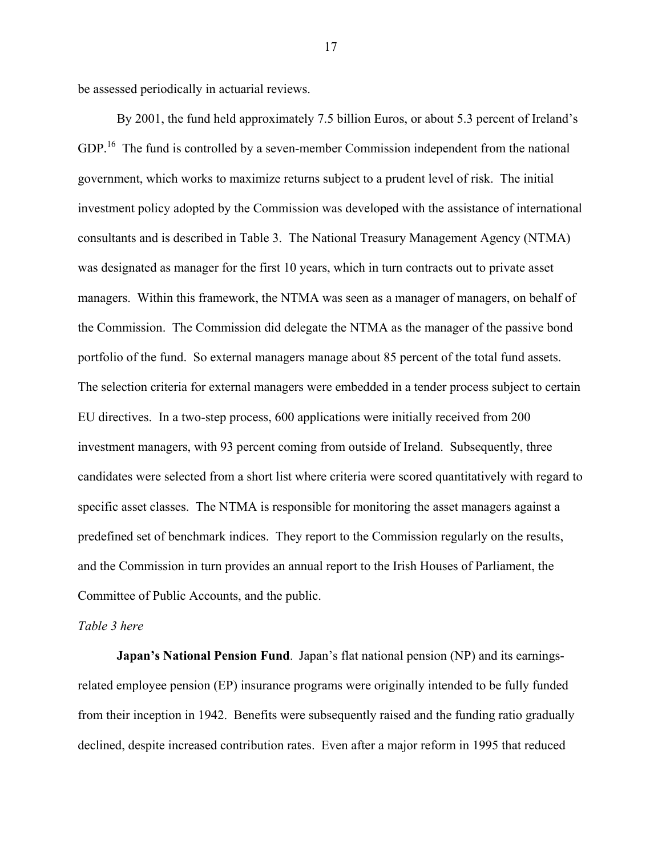be assessed periodically in actuarial reviews.

By 2001, the fund held approximately 7.5 billion Euros, or about 5.3 percent of Ireland's GDP.<sup>16</sup> The fund is controlled by a seven-member Commission independent from the national government, which works to maximize returns subject to a prudent level of risk. The initial investment policy adopted by the Commission was developed with the assistance of international consultants and is described in Table 3. The National Treasury Management Agency (NTMA) was designated as manager for the first 10 years, which in turn contracts out to private asset managers. Within this framework, the NTMA was seen as a manager of managers, on behalf of the Commission. The Commission did delegate the NTMA as the manager of the passive bond portfolio of the fund. So external managers manage about 85 percent of the total fund assets. The selection criteria for external managers were embedded in a tender process subject to certain EU directives. In a two-step process, 600 applications were initially received from 200 investment managers, with 93 percent coming from outside of Ireland. Subsequently, three candidates were selected from a short list where criteria were scored quantitatively with regard to specific asset classes. The NTMA is responsible for monitoring the asset managers against a predefined set of benchmark indices. They report to the Commission regularly on the results, and the Commission in turn provides an annual report to the Irish Houses of Parliament, the Committee of Public Accounts, and the public.

# *Table 3 here*

**Japan's National Pension Fund**. Japan's flat national pension (NP) and its earningsrelated employee pension (EP) insurance programs were originally intended to be fully funded from their inception in 1942. Benefits were subsequently raised and the funding ratio gradually declined, despite increased contribution rates. Even after a major reform in 1995 that reduced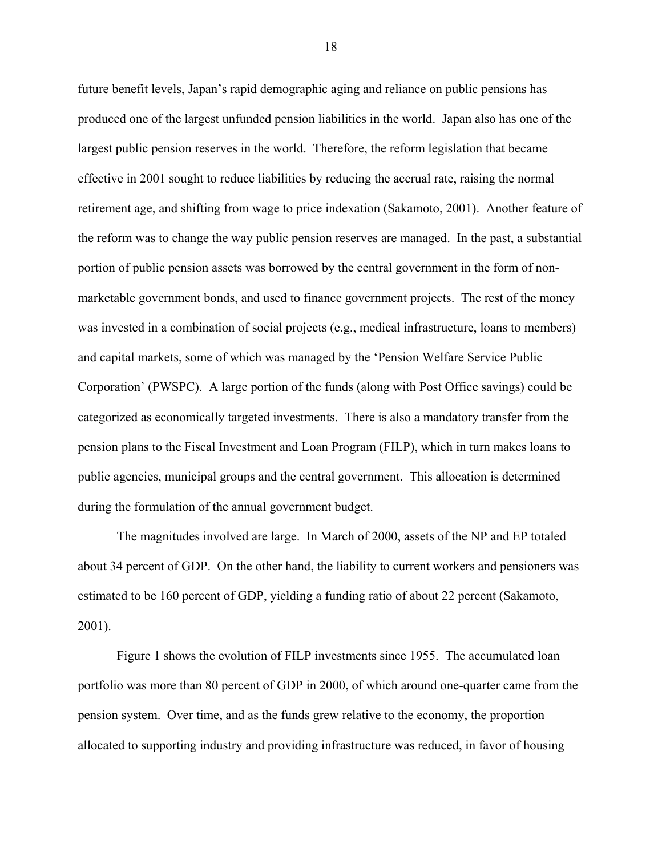future benefit levels, Japan's rapid demographic aging and reliance on public pensions has produced one of the largest unfunded pension liabilities in the world. Japan also has one of the largest public pension reserves in the world. Therefore, the reform legislation that became effective in 2001 sought to reduce liabilities by reducing the accrual rate, raising the normal retirement age, and shifting from wage to price indexation (Sakamoto, 2001). Another feature of the reform was to change the way public pension reserves are managed. In the past, a substantial portion of public pension assets was borrowed by the central government in the form of nonmarketable government bonds, and used to finance government projects. The rest of the money was invested in a combination of social projects (e.g., medical infrastructure, loans to members) and capital markets, some of which was managed by the 'Pension Welfare Service Public Corporation' (PWSPC). A large portion of the funds (along with Post Office savings) could be categorized as economically targeted investments. There is also a mandatory transfer from the pension plans to the Fiscal Investment and Loan Program (FILP), which in turn makes loans to public agencies, municipal groups and the central government. This allocation is determined during the formulation of the annual government budget.

The magnitudes involved are large. In March of 2000, assets of the NP and EP totaled about 34 percent of GDP. On the other hand, the liability to current workers and pensioners was estimated to be 160 percent of GDP, yielding a funding ratio of about 22 percent (Sakamoto, 2001).

Figure 1 shows the evolution of FILP investments since 1955. The accumulated loan portfolio was more than 80 percent of GDP in 2000, of which around one-quarter came from the pension system. Over time, and as the funds grew relative to the economy, the proportion allocated to supporting industry and providing infrastructure was reduced, in favor of housing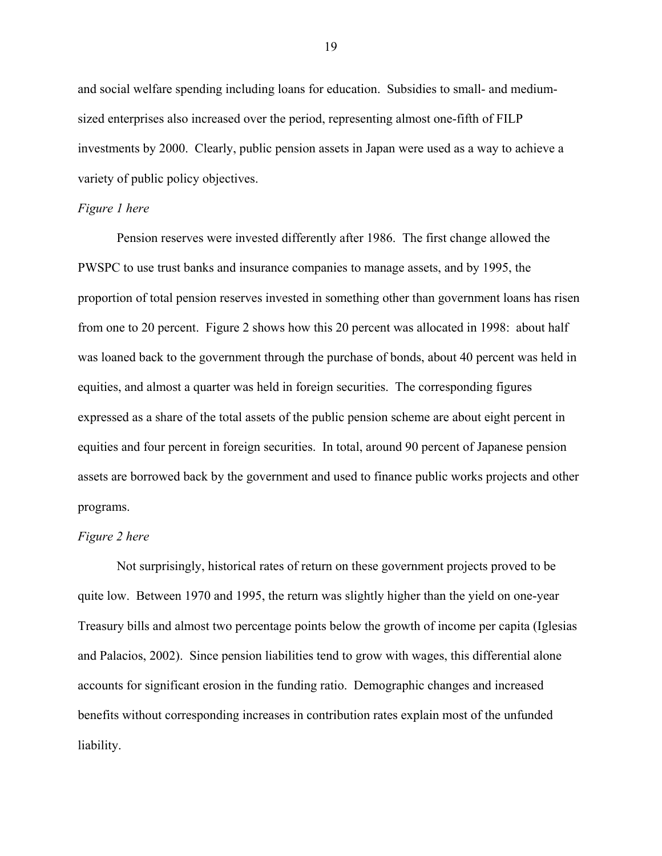and social welfare spending including loans for education. Subsidies to small- and mediumsized enterprises also increased over the period, representing almost one-fifth of FILP investments by 2000. Clearly, public pension assets in Japan were used as a way to achieve a variety of public policy objectives.

## *Figure 1 here*

Pension reserves were invested differently after 1986. The first change allowed the PWSPC to use trust banks and insurance companies to manage assets, and by 1995, the proportion of total pension reserves invested in something other than government loans has risen from one to 20 percent. Figure 2 shows how this 20 percent was allocated in 1998: about half was loaned back to the government through the purchase of bonds, about 40 percent was held in equities, and almost a quarter was held in foreign securities. The corresponding figures expressed as a share of the total assets of the public pension scheme are about eight percent in equities and four percent in foreign securities. In total, around 90 percent of Japanese pension assets are borrowed back by the government and used to finance public works projects and other programs.

# *Figure 2 here*

Not surprisingly, historical rates of return on these government projects proved to be quite low. Between 1970 and 1995, the return was slightly higher than the yield on one-year Treasury bills and almost two percentage points below the growth of income per capita (Iglesias and Palacios, 2002). Since pension liabilities tend to grow with wages, this differential alone accounts for significant erosion in the funding ratio. Demographic changes and increased benefits without corresponding increases in contribution rates explain most of the unfunded liability.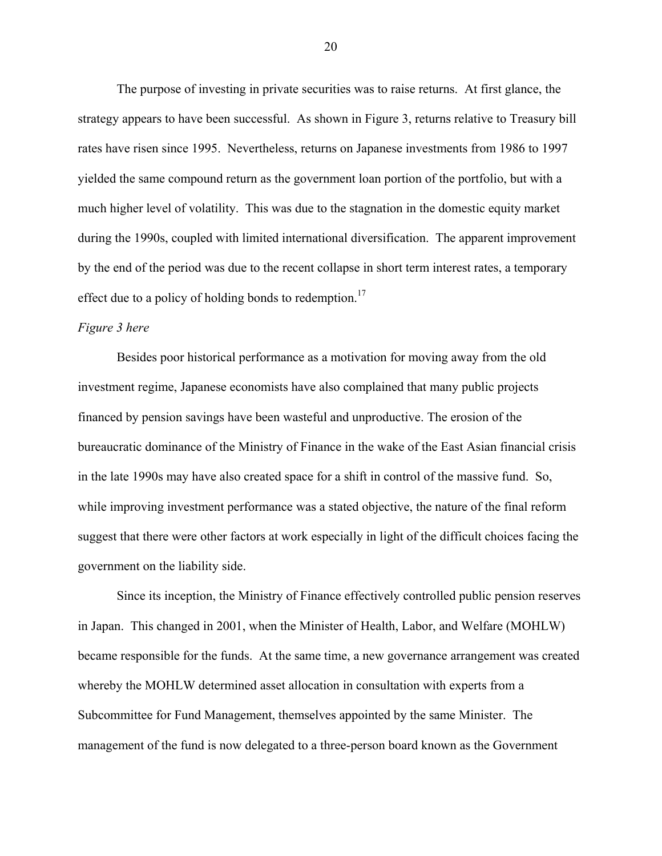The purpose of investing in private securities was to raise returns. At first glance, the strategy appears to have been successful. As shown in Figure 3, returns relative to Treasury bill rates have risen since 1995. Nevertheless, returns on Japanese investments from 1986 to 1997 yielded the same compound return as the government loan portion of the portfolio, but with a much higher level of volatility. This was due to the stagnation in the domestic equity market during the 1990s, coupled with limited international diversification. The apparent improvement by the end of the period was due to the recent collapse in short term interest rates, a temporary effect due to a policy of holding bonds to redemption.<sup>[17](#page-54-13)</sup>

### *Figure 3 here*

Besides poor historical performance as a motivation for moving away from the old investment regime, Japanese economists have also complained that many public projects financed by pension savings have been wasteful and unproductive. The erosion of the bureaucratic dominance of the Ministry of Finance in the wake of the East Asian financial crisis in the late 1990s may have also created space for a shift in control of the massive fund. So, while improving investment performance was a stated objective, the nature of the final reform suggest that there were other factors at work especially in light of the difficult choices facing the government on the liability side.

 Since its inception, the Ministry of Finance effectively controlled public pension reserves in Japan. This changed in 2001, when the Minister of Health, Labor, and Welfare (MOHLW) became responsible for the funds. At the same time, a new governance arrangement was created whereby the MOHLW determined asset allocation in consultation with experts from a Subcommittee for Fund Management, themselves appointed by the same Minister. The management of the fund is now delegated to a three-person board known as the Government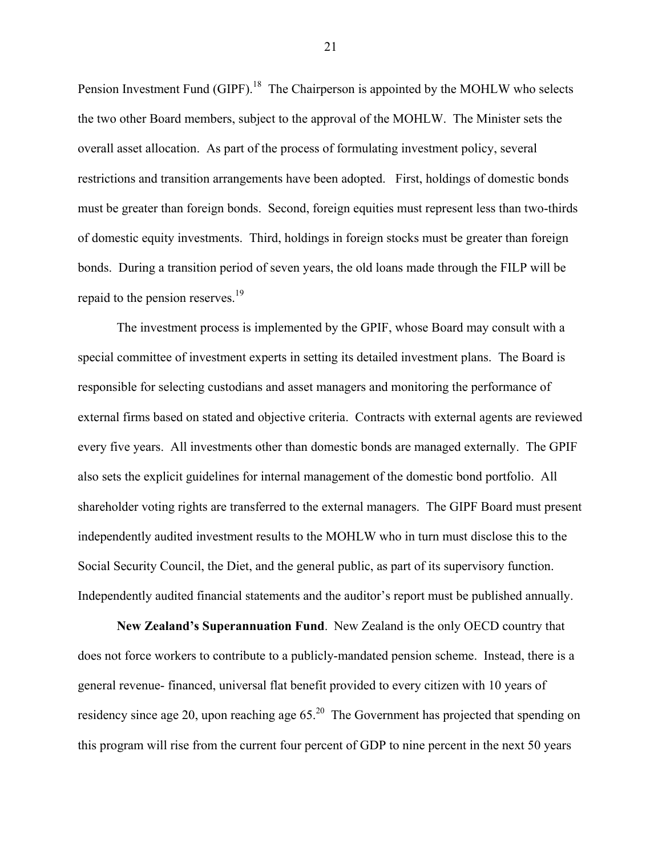Pension Investment Fund (GIPF).<sup>18</sup> The Chairperson is appointed by the MOHLW who selects the two other Board members, subject to the approval of the MOHLW. The Minister sets the overall asset allocation. As part of the process of formulating investment policy, several restrictions and transition arrangements have been adopted. First, holdings of domestic bonds must be greater than foreign bonds. Second, foreign equities must represent less than two-thirds of domestic equity investments. Third, holdings in foreign stocks must be greater than foreign bonds. During a transition period of seven years, the old loans made through the FILP will be repaid to the pension reserves.<sup>[19](#page-54-13)</sup>

The investment process is implemented by the GPIF, whose Board may consult with a special committee of investment experts in setting its detailed investment plans. The Board is responsible for selecting custodians and asset managers and monitoring the performance of external firms based on stated and objective criteria. Contracts with external agents are reviewed every five years. All investments other than domestic bonds are managed externally. The GPIF also sets the explicit guidelines for internal management of the domestic bond portfolio. All shareholder voting rights are transferred to the external managers. The GIPF Board must present independently audited investment results to the MOHLW who in turn must disclose this to the Social Security Council, the Diet, and the general public, as part of its supervisory function. Independently audited financial statements and the auditor's report must be published annually.

**New Zealand's Superannuation Fund**. New Zealand is the only OECD country that does not force workers to contribute to a publicly-mandated pension scheme. Instead, there is a general revenue- financed, universal flat benefit provided to every citizen with 10 years of residency since age 20, upon reaching age  $65<sup>20</sup>$ . The Government has projected that spending on this program will rise from the current four percent of GDP to nine percent in the next 50 years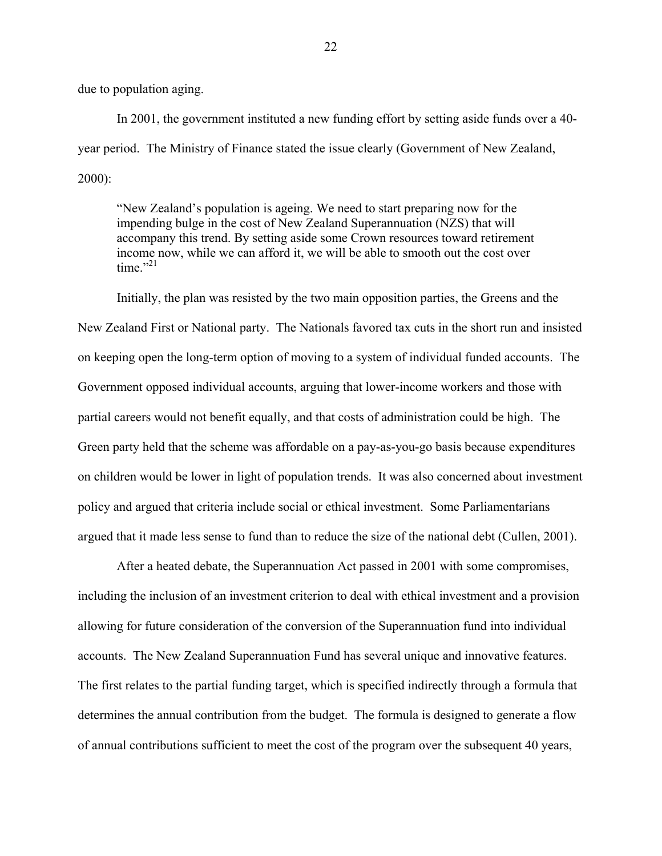due to population aging.

In 2001, the government instituted a new funding effort by setting aside funds over a 40 year period. The Ministry of Finance stated the issue clearly (Government of New Zealand, 2000):

"New Zealand's population is ageing. We need to start preparing now for the impending bulge in the cost of New Zealand Superannuation (NZS) that will accompany this trend. By setting aside some Crown resources toward retirement income now, while we can afford it, we will be able to smooth out the cost over time." $^{21}$  $^{21}$  $^{21}$ 

Initially, the plan was resisted by the two main opposition parties, the Greens and the New Zealand First or National party. The Nationals favored tax cuts in the short run and insisted on keeping open the long-term option of moving to a system of individual funded accounts. The Government opposed individual accounts, arguing that lower-income workers and those with partial careers would not benefit equally, and that costs of administration could be high. The Green party held that the scheme was affordable on a pay-as-you-go basis because expenditures on children would be lower in light of population trends. It was also concerned about investment policy and argued that criteria include social or ethical investment. Some Parliamentarians argued that it made less sense to fund than to reduce the size of the national debt (Cullen, 2001).

After a heated debate, the Superannuation Act passed in 2001 with some compromises, including the inclusion of an investment criterion to deal with ethical investment and a provision allowing for future consideration of the conversion of the Superannuation fund into individual accounts. The New Zealand Superannuation Fund has several unique and innovative features. The first relates to the partial funding target, which is specified indirectly through a formula that determines the annual contribution from the budget. The formula is designed to generate a flow of annual contributions sufficient to meet the cost of the program over the subsequent 40 years,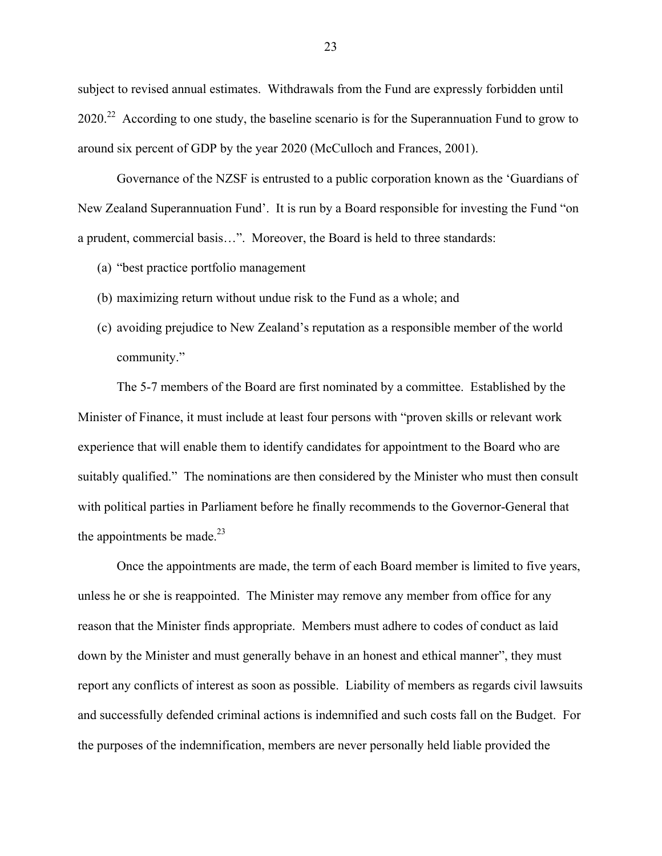subject to revised annual estimates. Withdrawals from the Fund are expressly forbidden until  $2020<sup>22</sup>$  According to one study, the baseline scenario is for the Superannuation Fund to grow to around six percent of GDP by the year 2020 (McCulloch and Frances, 2001).

Governance of the NZSF is entrusted to a public corporation known as the 'Guardians of New Zealand Superannuation Fund'. It is run by a Board responsible for investing the Fund "on a prudent, commercial basis…". Moreover, the Board is held to three standards:

- (a) "best practice portfolio management
- (b) maximizing return without undue risk to the Fund as a whole; and
- (c) avoiding prejudice to New Zealand's reputation as a responsible member of the world community."

The 5-7 members of the Board are first nominated by a committee. Established by the Minister of Finance, it must include at least four persons with "proven skills or relevant work experience that will enable them to identify candidates for appointment to the Board who are suitably qualified." The nominations are then considered by the Minister who must then consult with political parties in Parliament before he finally recommends to the Governor-General that the appointments be made. $^{23}$  $^{23}$  $^{23}$ 

Once the appointments are made, the term of each Board member is limited to five years, unless he or she is reappointed. The Minister may remove any member from office for any reason that the Minister finds appropriate. Members must adhere to codes of conduct as laid down by the Minister and must generally behave in an honest and ethical manner", they must report any conflicts of interest as soon as possible. Liability of members as regards civil lawsuits and successfully defended criminal actions is indemnified and such costs fall on the Budget. For the purposes of the indemnification, members are never personally held liable provided the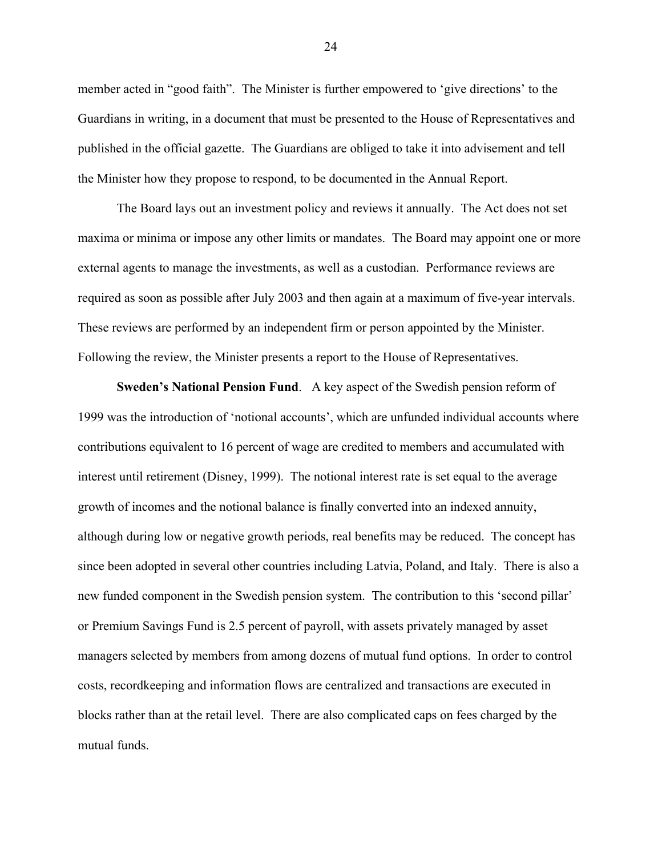member acted in "good faith". The Minister is further empowered to 'give directions' to the Guardians in writing, in a document that must be presented to the House of Representatives and published in the official gazette. The Guardians are obliged to take it into advisement and tell the Minister how they propose to respond, to be documented in the Annual Report.

The Board lays out an investment policy and reviews it annually. The Act does not set maxima or minima or impose any other limits or mandates. The Board may appoint one or more external agents to manage the investments, as well as a custodian. Performance reviews are required as soon as possible after July 2003 and then again at a maximum of five-year intervals. These reviews are performed by an independent firm or person appointed by the Minister. Following the review, the Minister presents a report to the House of Representatives.

**Sweden's National Pension Fund**. A key aspect of the Swedish pension reform of 1999 was the introduction of 'notional accounts', which are unfunded individual accounts where contributions equivalent to 16 percent of wage are credited to members and accumulated with interest until retirement (Disney, 1999). The notional interest rate is set equal to the average growth of incomes and the notional balance is finally converted into an indexed annuity, although during low or negative growth periods, real benefits may be reduced. The concept has since been adopted in several other countries including Latvia, Poland, and Italy. There is also a new funded component in the Swedish pension system. The contribution to this 'second pillar' or Premium Savings Fund is 2.5 percent of payroll, with assets privately managed by asset managers selected by members from among dozens of mutual fund options. In order to control costs, recordkeeping and information flows are centralized and transactions are executed in blocks rather than at the retail level. There are also complicated caps on fees charged by the mutual funds.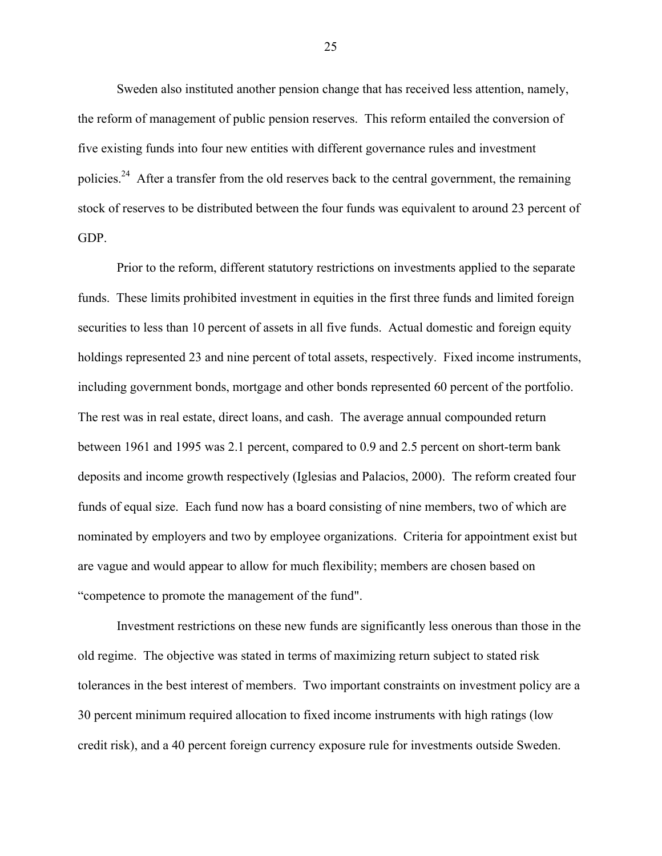Sweden also instituted another pension change that has received less attention, namely, the reform of management of public pension reserves. This reform entailed the conversion of five existing funds into four new entities with different governance rules and investment policies.[24](#page-54-16) After a transfer from the old reserves back to the central government, the remaining stock of reserves to be distributed between the four funds was equivalent to around 23 percent of GDP.

Prior to the reform, different statutory restrictions on investments applied to the separate funds. These limits prohibited investment in equities in the first three funds and limited foreign securities to less than 10 percent of assets in all five funds. Actual domestic and foreign equity holdings represented 23 and nine percent of total assets, respectively. Fixed income instruments, including government bonds, mortgage and other bonds represented 60 percent of the portfolio. The rest was in real estate, direct loans, and cash. The average annual compounded return between 1961 and 1995 was 2.1 percent, compared to 0.9 and 2.5 percent on short-term bank deposits and income growth respectively (Iglesias and Palacios, 2000). The reform created four funds of equal size. Each fund now has a board consisting of nine members, two of which are nominated by employers and two by employee organizations. Criteria for appointment exist but are vague and would appear to allow for much flexibility; members are chosen based on "competence to promote the management of the fund".

Investment restrictions on these new funds are significantly less onerous than those in the old regime. The objective was stated in terms of maximizing return subject to stated risk tolerances in the best interest of members. Two important constraints on investment policy are a 30 percent minimum required allocation to fixed income instruments with high ratings (low credit risk), and a 40 percent foreign currency exposure rule for investments outside Sweden.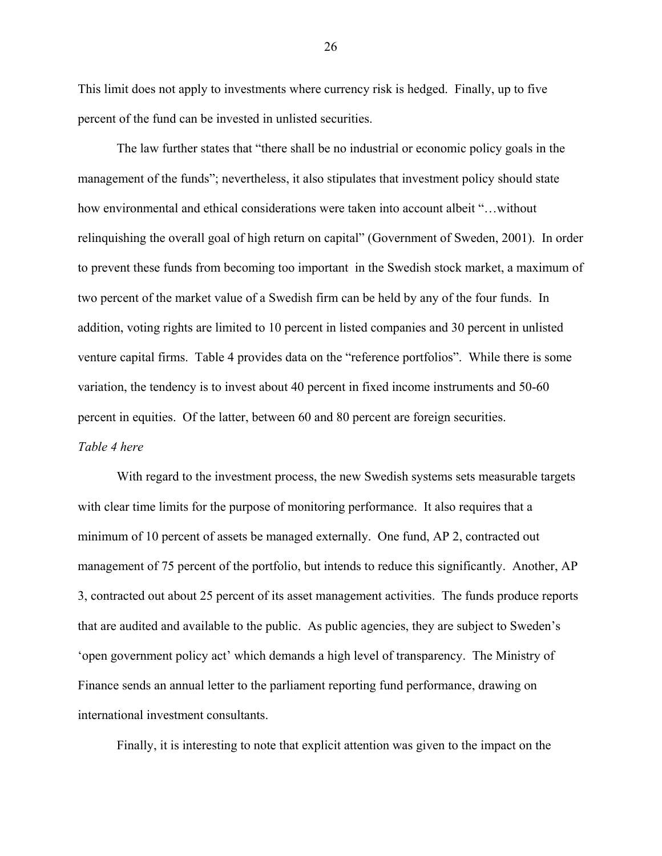This limit does not apply to investments where currency risk is hedged. Finally, up to five percent of the fund can be invested in unlisted securities.

The law further states that "there shall be no industrial or economic policy goals in the management of the funds"; nevertheless, it also stipulates that investment policy should state how environmental and ethical considerations were taken into account albeit "…without relinquishing the overall goal of high return on capital" (Government of Sweden, 2001). In order to prevent these funds from becoming too important in the Swedish stock market, a maximum of two percent of the market value of a Swedish firm can be held by any of the four funds. In addition, voting rights are limited to 10 percent in listed companies and 30 percent in unlisted venture capital firms. Table 4 provides data on the "reference portfolios". While there is some variation, the tendency is to invest about 40 percent in fixed income instruments and 50-60 percent in equities. Of the latter, between 60 and 80 percent are foreign securities.

# *Table 4 here*

With regard to the investment process, the new Swedish systems sets measurable targets with clear time limits for the purpose of monitoring performance. It also requires that a minimum of 10 percent of assets be managed externally. One fund, AP 2, contracted out management of 75 percent of the portfolio, but intends to reduce this significantly. Another, AP 3, contracted out about 25 percent of its asset management activities. The funds produce reports that are audited and available to the public. As public agencies, they are subject to Sweden's 'open government policy act' which demands a high level of transparency. The Ministry of Finance sends an annual letter to the parliament reporting fund performance, drawing on international investment consultants.

Finally, it is interesting to note that explicit attention was given to the impact on the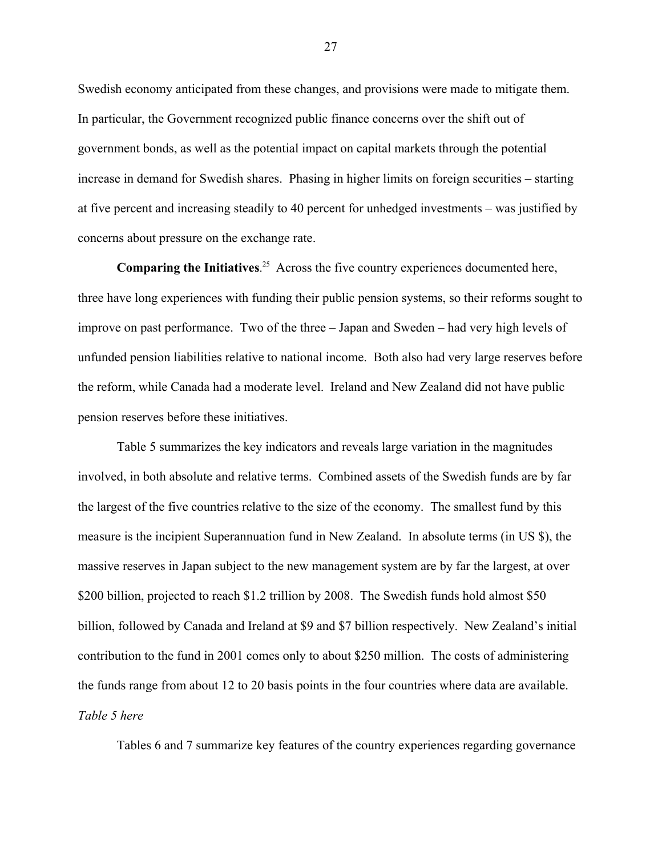Swedish economy anticipated from these changes, and provisions were made to mitigate them. In particular, the Government recognized public finance concerns over the shift out of government bonds, as well as the potential impact on capital markets through the potential increase in demand for Swedish shares. Phasing in higher limits on foreign securities – starting at five percent and increasing steadily to 40 percent for unhedged investments – was justified by concerns about pressure on the exchange rate.

**Comparing the Initiatives**. [25](#page-54-17) Across the five country experiences documented here, three have long experiences with funding their public pension systems, so their reforms sought to improve on past performance. Two of the three – Japan and Sweden – had very high levels of unfunded pension liabilities relative to national income. Both also had very large reserves before the reform, while Canada had a moderate level. Ireland and New Zealand did not have public pension reserves before these initiatives.

Table 5 summarizes the key indicators and reveals large variation in the magnitudes involved, in both absolute and relative terms. Combined assets of the Swedish funds are by far the largest of the five countries relative to the size of the economy. The smallest fund by this measure is the incipient Superannuation fund in New Zealand. In absolute terms (in US \$), the massive reserves in Japan subject to the new management system are by far the largest, at over \$200 billion, projected to reach \$1.2 trillion by 2008. The Swedish funds hold almost \$50 billion, followed by Canada and Ireland at \$9 and \$7 billion respectively. New Zealand's initial contribution to the fund in 2001 comes only to about \$250 million. The costs of administering the funds range from about 12 to 20 basis points in the four countries where data are available. *Table 5 here* 

Tables 6 and 7 summarize key features of the country experiences regarding governance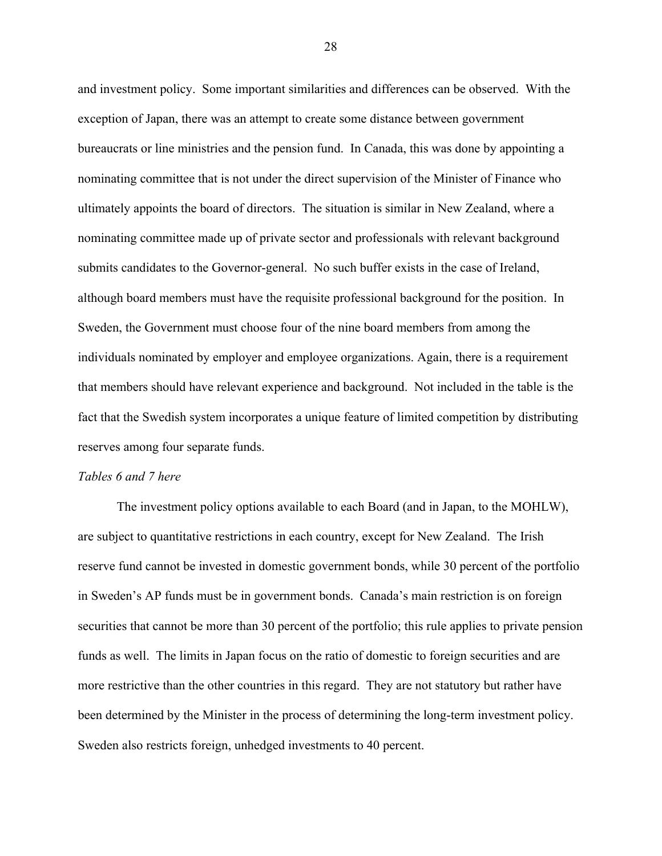and investment policy. Some important similarities and differences can be observed. With the exception of Japan, there was an attempt to create some distance between government bureaucrats or line ministries and the pension fund. In Canada, this was done by appointing a nominating committee that is not under the direct supervision of the Minister of Finance who ultimately appoints the board of directors. The situation is similar in New Zealand, where a nominating committee made up of private sector and professionals with relevant background submits candidates to the Governor-general. No such buffer exists in the case of Ireland, although board members must have the requisite professional background for the position. In Sweden, the Government must choose four of the nine board members from among the individuals nominated by employer and employee organizations. Again, there is a requirement that members should have relevant experience and background. Not included in the table is the fact that the Swedish system incorporates a unique feature of limited competition by distributing reserves among four separate funds.

#### *Tables 6 and 7 here*

The investment policy options available to each Board (and in Japan, to the MOHLW), are subject to quantitative restrictions in each country, except for New Zealand. The Irish reserve fund cannot be invested in domestic government bonds, while 30 percent of the portfolio in Sweden's AP funds must be in government bonds. Canada's main restriction is on foreign securities that cannot be more than 30 percent of the portfolio; this rule applies to private pension funds as well. The limits in Japan focus on the ratio of domestic to foreign securities and are more restrictive than the other countries in this regard. They are not statutory but rather have been determined by the Minister in the process of determining the long-term investment policy. Sweden also restricts foreign, unhedged investments to 40 percent.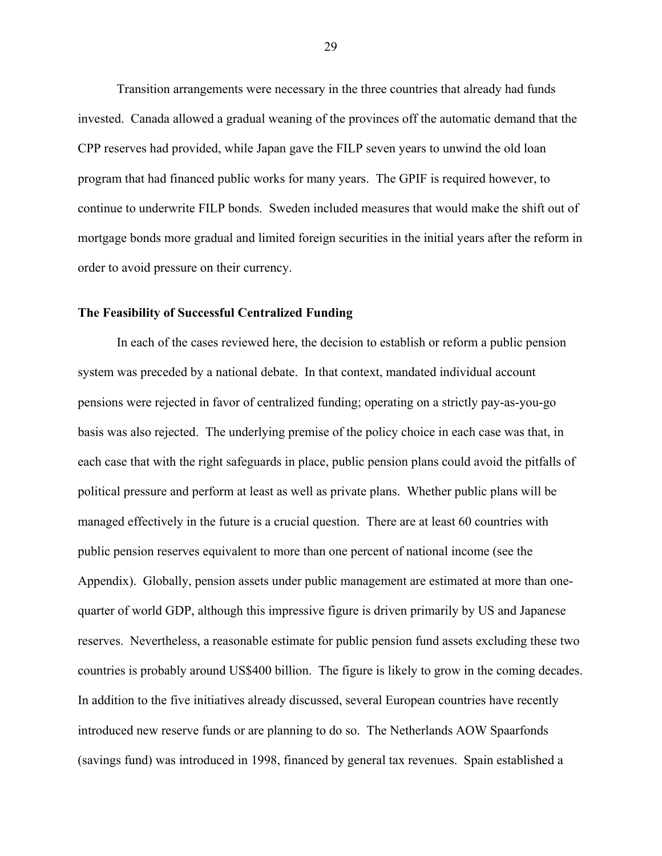Transition arrangements were necessary in the three countries that already had funds invested. Canada allowed a gradual weaning of the provinces off the automatic demand that the CPP reserves had provided, while Japan gave the FILP seven years to unwind the old loan program that had financed public works for many years. The GPIF is required however, to continue to underwrite FILP bonds. Sweden included measures that would make the shift out of mortgage bonds more gradual and limited foreign securities in the initial years after the reform in order to avoid pressure on their currency.

#### **The Feasibility of Successful Centralized Funding**

In each of the cases reviewed here, the decision to establish or reform a public pension system was preceded by a national debate. In that context, mandated individual account pensions were rejected in favor of centralized funding; operating on a strictly pay-as-you-go basis was also rejected. The underlying premise of the policy choice in each case was that, in each case that with the right safeguards in place, public pension plans could avoid the pitfalls of political pressure and perform at least as well as private plans. Whether public plans will be managed effectively in the future is a crucial question. There are at least 60 countries with public pension reserves equivalent to more than one percent of national income (see the Appendix). Globally, pension assets under public management are estimated at more than onequarter of world GDP, although this impressive figure is driven primarily by US and Japanese reserves. Nevertheless, a reasonable estimate for public pension fund assets excluding these two countries is probably around US\$400 billion. The figure is likely to grow in the coming decades. In addition to the five initiatives already discussed, several European countries have recently introduced new reserve funds or are planning to do so. The Netherlands AOW Spaarfonds (savings fund) was introduced in 1998, financed by general tax revenues. Spain established a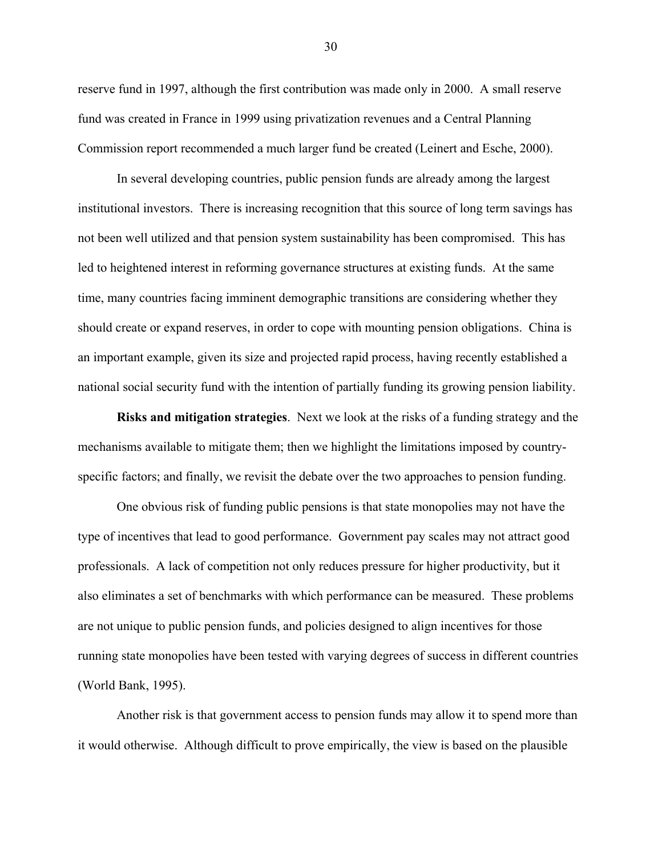reserve fund in 1997, although the first contribution was made only in 2000. A small reserve fund was created in France in 1999 using privatization revenues and a Central Planning Commission report recommended a much larger fund be created (Leinert and Esche, 2000).

In several developing countries, public pension funds are already among the largest institutional investors. There is increasing recognition that this source of long term savings has not been well utilized and that pension system sustainability has been compromised. This has led to heightened interest in reforming governance structures at existing funds. At the same time, many countries facing imminent demographic transitions are considering whether they should create or expand reserves, in order to cope with mounting pension obligations. China is an important example, given its size and projected rapid process, having recently established a national social security fund with the intention of partially funding its growing pension liability.

**Risks and mitigation strategies**. Next we look at the risks of a funding strategy and the mechanisms available to mitigate them; then we highlight the limitations imposed by countryspecific factors; and finally, we revisit the debate over the two approaches to pension funding.

One obvious risk of funding public pensions is that state monopolies may not have the type of incentives that lead to good performance. Government pay scales may not attract good professionals. A lack of competition not only reduces pressure for higher productivity, but it also eliminates a set of benchmarks with which performance can be measured. These problems are not unique to public pension funds, and policies designed to align incentives for those running state monopolies have been tested with varying degrees of success in different countries (World Bank, 1995).

Another risk is that government access to pension funds may allow it to spend more than it would otherwise. Although difficult to prove empirically, the view is based on the plausible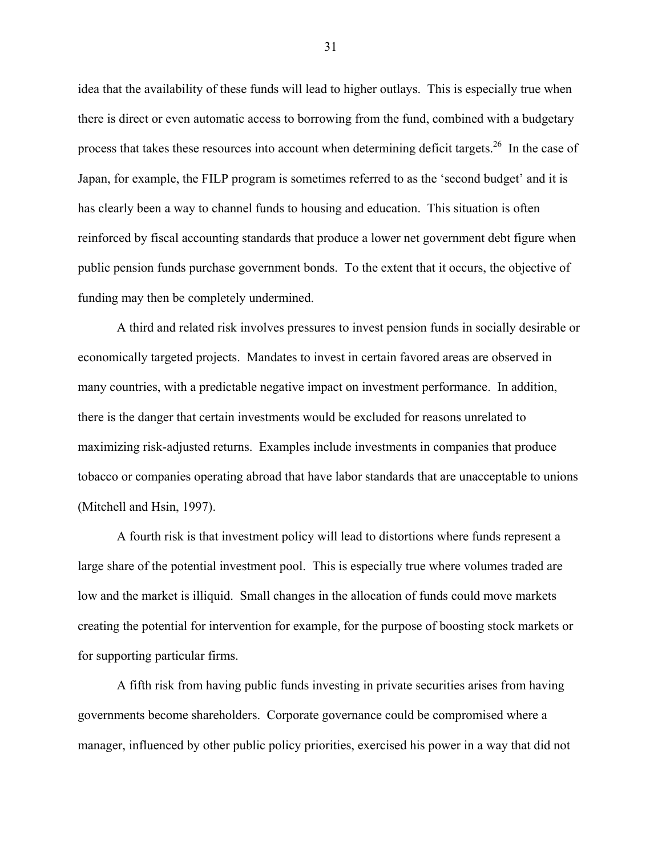idea that the availability of these funds will lead to higher outlays. This is especially true when there is direct or even automatic access to borrowing from the fund, combined with a budgetary process that takes these resources into account when determining deficit targets.<sup>26</sup> In the case of Japan, for example, the FILP program is sometimes referred to as the 'second budget' and it is has clearly been a way to channel funds to housing and education. This situation is often reinforced by fiscal accounting standards that produce a lower net government debt figure when public pension funds purchase government bonds. To the extent that it occurs, the objective of funding may then be completely undermined.

A third and related risk involves pressures to invest pension funds in socially desirable or economically targeted projects. Mandates to invest in certain favored areas are observed in many countries, with a predictable negative impact on investment performance. In addition, there is the danger that certain investments would be excluded for reasons unrelated to maximizing risk-adjusted returns. Examples include investments in companies that produce tobacco or companies operating abroad that have labor standards that are unacceptable to unions (Mitchell and Hsin, 1997).

A fourth risk is that investment policy will lead to distortions where funds represent a large share of the potential investment pool. This is especially true where volumes traded are low and the market is illiquid. Small changes in the allocation of funds could move markets creating the potential for intervention for example, for the purpose of boosting stock markets or for supporting particular firms.

A fifth risk from having public funds investing in private securities arises from having governments become shareholders. Corporate governance could be compromised where a manager, influenced by other public policy priorities, exercised his power in a way that did not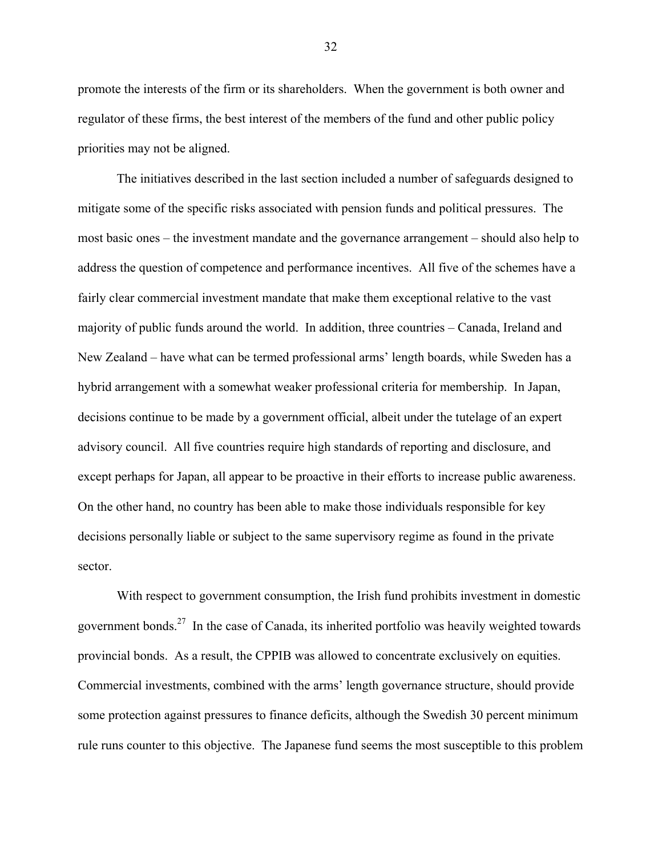promote the interests of the firm or its shareholders. When the government is both owner and regulator of these firms, the best interest of the members of the fund and other public policy priorities may not be aligned.

The initiatives described in the last section included a number of safeguards designed to mitigate some of the specific risks associated with pension funds and political pressures. The most basic ones – the investment mandate and the governance arrangement – should also help to address the question of competence and performance incentives. All five of the schemes have a fairly clear commercial investment mandate that make them exceptional relative to the vast majority of public funds around the world. In addition, three countries – Canada, Ireland and New Zealand – have what can be termed professional arms' length boards, while Sweden has a hybrid arrangement with a somewhat weaker professional criteria for membership. In Japan, decisions continue to be made by a government official, albeit under the tutelage of an expert advisory council. All five countries require high standards of reporting and disclosure, and except perhaps for Japan, all appear to be proactive in their efforts to increase public awareness. On the other hand, no country has been able to make those individuals responsible for key decisions personally liable or subject to the same supervisory regime as found in the private sector.

With respect to government consumption, the Irish fund prohibits investment in domestic government bonds.<sup>27</sup> In the case of Canada, its inherited portfolio was heavily weighted towards provincial bonds. As a result, the CPPIB was allowed to concentrate exclusively on equities. Commercial investments, combined with the arms' length governance structure, should provide some protection against pressures to finance deficits, although the Swedish 30 percent minimum rule runs counter to this objective. The Japanese fund seems the most susceptible to this problem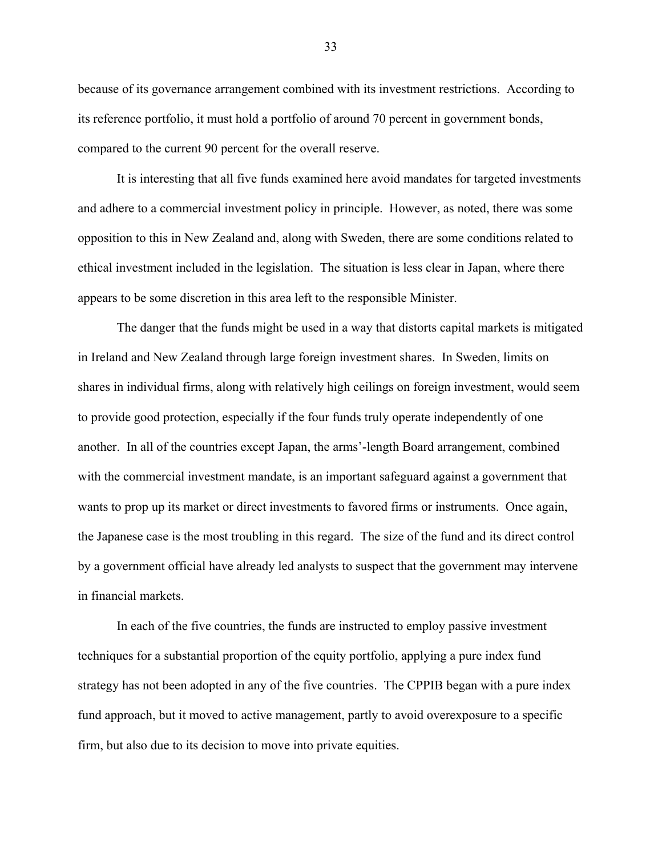because of its governance arrangement combined with its investment restrictions. According to its reference portfolio, it must hold a portfolio of around 70 percent in government bonds, compared to the current 90 percent for the overall reserve.

It is interesting that all five funds examined here avoid mandates for targeted investments and adhere to a commercial investment policy in principle. However, as noted, there was some opposition to this in New Zealand and, along with Sweden, there are some conditions related to ethical investment included in the legislation. The situation is less clear in Japan, where there appears to be some discretion in this area left to the responsible Minister.

The danger that the funds might be used in a way that distorts capital markets is mitigated in Ireland and New Zealand through large foreign investment shares. In Sweden, limits on shares in individual firms, along with relatively high ceilings on foreign investment, would seem to provide good protection, especially if the four funds truly operate independently of one another. In all of the countries except Japan, the arms'-length Board arrangement, combined with the commercial investment mandate, is an important safeguard against a government that wants to prop up its market or direct investments to favored firms or instruments. Once again, the Japanese case is the most troubling in this regard. The size of the fund and its direct control by a government official have already led analysts to suspect that the government may intervene in financial markets.

In each of the five countries, the funds are instructed to employ passive investment techniques for a substantial proportion of the equity portfolio, applying a pure index fund strategy has not been adopted in any of the five countries. The CPPIB began with a pure index fund approach, but it moved to active management, partly to avoid overexposure to a specific firm, but also due to its decision to move into private equities.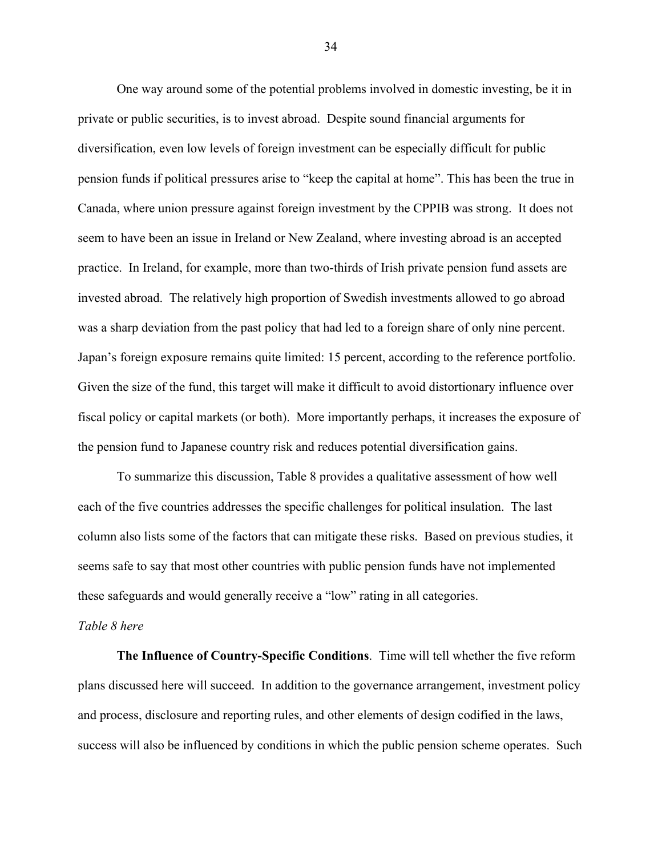One way around some of the potential problems involved in domestic investing, be it in private or public securities, is to invest abroad. Despite sound financial arguments for diversification, even low levels of foreign investment can be especially difficult for public pension funds if political pressures arise to "keep the capital at home". This has been the true in Canada, where union pressure against foreign investment by the CPPIB was strong. It does not seem to have been an issue in Ireland or New Zealand, where investing abroad is an accepted practice. In Ireland, for example, more than two-thirds of Irish private pension fund assets are invested abroad. The relatively high proportion of Swedish investments allowed to go abroad was a sharp deviation from the past policy that had led to a foreign share of only nine percent. Japan's foreign exposure remains quite limited: 15 percent, according to the reference portfolio. Given the size of the fund, this target will make it difficult to avoid distortionary influence over fiscal policy or capital markets (or both). More importantly perhaps, it increases the exposure of the pension fund to Japanese country risk and reduces potential diversification gains.

To summarize this discussion, Table 8 provides a qualitative assessment of how well each of the five countries addresses the specific challenges for political insulation. The last column also lists some of the factors that can mitigate these risks. Based on previous studies, it seems safe to say that most other countries with public pension funds have not implemented these safeguards and would generally receive a "low" rating in all categories.

## *Table 8 here*

**The Influence of Country-Specific Conditions**. Time will tell whether the five reform plans discussed here will succeed. In addition to the governance arrangement, investment policy and process, disclosure and reporting rules, and other elements of design codified in the laws, success will also be influenced by conditions in which the public pension scheme operates. Such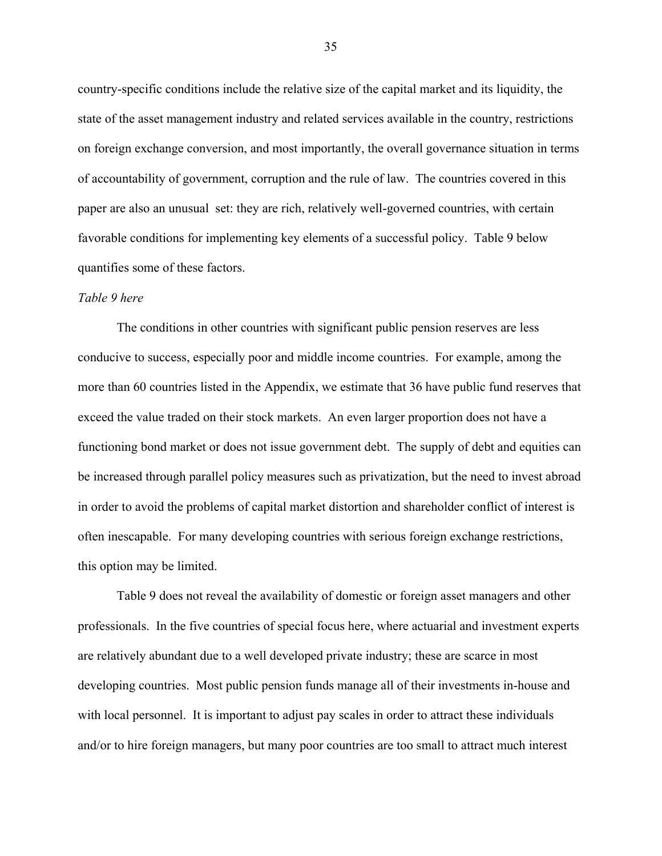country-specific conditions include the relative size of the capital market and its liquidity, the state of the asset management industry and related services available in the country, restrictions on foreign exchange conversion, and most importantly, the overall governance situation in terms of accountability of government, corruption and the rule of law. The countries covered in this paper are also an unusual set: they are rich, relatively well-governed countries, with certain favorable conditions for implementing key elements of a successful policy. Table 9 below quantifies some of these factors.

## *Table 9 here*

The conditions in other countries with significant public pension reserves are less conducive to success, especially poor and middle income countries. For example, among the more than 60 countries listed in the Appendix, we estimate that 36 have public fund reserves that exceed the value traded on their stock markets. An even larger proportion does not have a functioning bond market or does not issue government debt. The supply of debt and equities can be increased through parallel policy measures such as privatization, but the need to invest abroad in order to avoid the problems of capital market distortion and shareholder conflict of interest is often inescapable. For many developing countries with serious foreign exchange restrictions, this option may be limited.

Table 9 does not reveal the availability of domestic or foreign asset managers and other professionals. In the five countries of special focus here, where actuarial and investment experts are relatively abundant due to a well developed private industry; these are scarce in most developing countries. Most public pension funds manage all of their investments in-house and with local personnel. It is important to adjust pay scales in order to attract these individuals and/or to hire foreign managers, but many poor countries are too small to attract much interest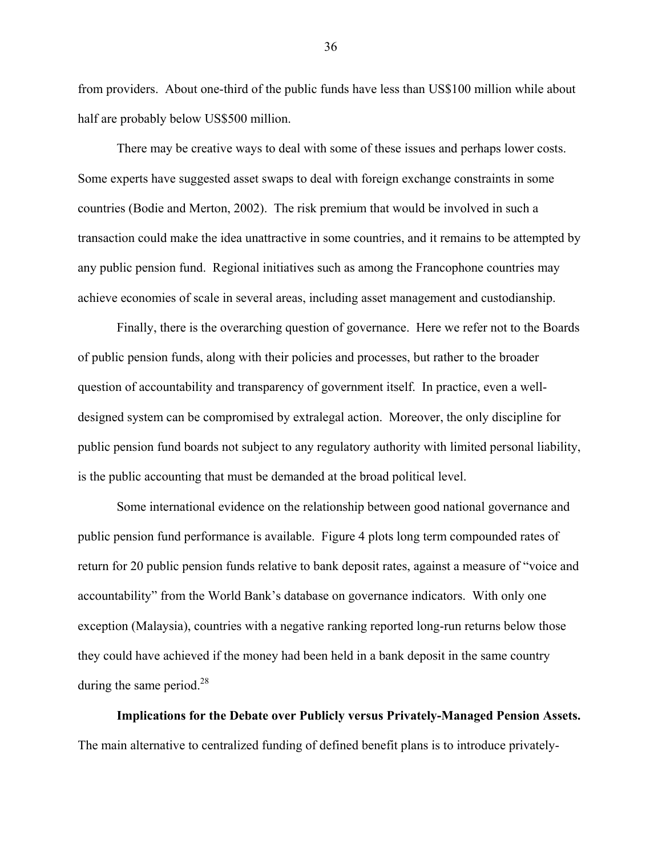from providers. About one-third of the public funds have less than US\$100 million while about half are probably below US\$500 million.

There may be creative ways to deal with some of these issues and perhaps lower costs. Some experts have suggested asset swaps to deal with foreign exchange constraints in some countries (Bodie and Merton, 2002). The risk premium that would be involved in such a transaction could make the idea unattractive in some countries, and it remains to be attempted by any public pension fund. Regional initiatives such as among the Francophone countries may achieve economies of scale in several areas, including asset management and custodianship.

Finally, there is the overarching question of governance. Here we refer not to the Boards of public pension funds, along with their policies and processes, but rather to the broader question of accountability and transparency of government itself. In practice, even a welldesigned system can be compromised by extralegal action. Moreover, the only discipline for public pension fund boards not subject to any regulatory authority with limited personal liability, is the public accounting that must be demanded at the broad political level.

Some international evidence on the relationship between good national governance and public pension fund performance is available. Figure 4 plots long term compounded rates of return for 20 public pension funds relative to bank deposit rates, against a measure of "voice and accountability" from the World Bank's database on governance indicators. With only one exception (Malaysia), countries with a negative ranking reported long-run returns below those they could have achieved if the money had been held in a bank deposit in the same country during the same period. $28$ 

**Implications for the Debate over Publicly versus Privately-Managed Pension Assets.**  The main alternative to centralized funding of defined benefit plans is to introduce privately-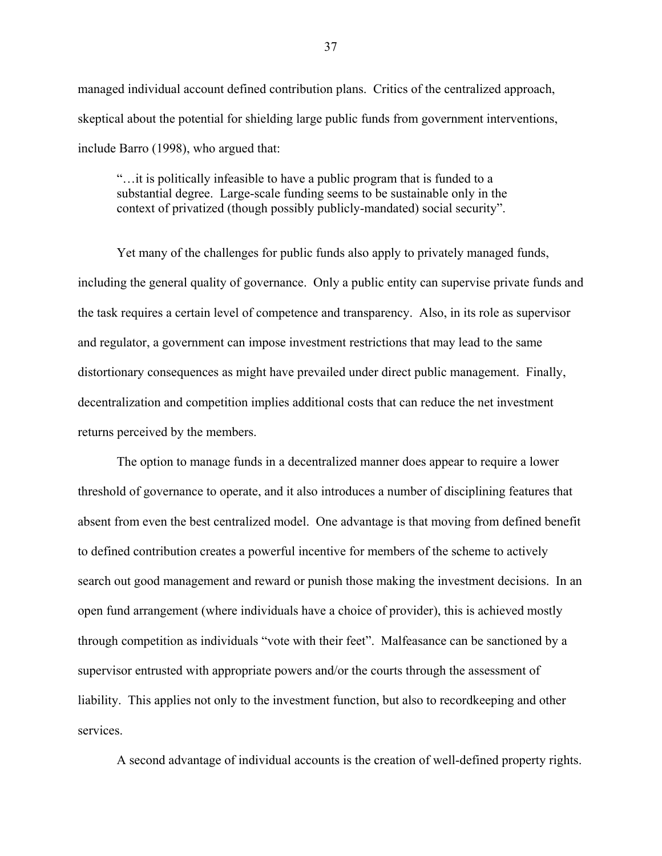managed individual account defined contribution plans. Critics of the centralized approach, skeptical about the potential for shielding large public funds from government interventions, include Barro (1998), who argued that:

"…it is politically infeasible to have a public program that is funded to a substantial degree. Large-scale funding seems to be sustainable only in the context of privatized (though possibly publicly-mandated) social security".

Yet many of the challenges for public funds also apply to privately managed funds, including the general quality of governance. Only a public entity can supervise private funds and the task requires a certain level of competence and transparency. Also, in its role as supervisor and regulator, a government can impose investment restrictions that may lead to the same distortionary consequences as might have prevailed under direct public management. Finally, decentralization and competition implies additional costs that can reduce the net investment returns perceived by the members.

The option to manage funds in a decentralized manner does appear to require a lower threshold of governance to operate, and it also introduces a number of disciplining features that absent from even the best centralized model. One advantage is that moving from defined benefit to defined contribution creates a powerful incentive for members of the scheme to actively search out good management and reward or punish those making the investment decisions. In an open fund arrangement (where individuals have a choice of provider), this is achieved mostly through competition as individuals "vote with their feet". Malfeasance can be sanctioned by a supervisor entrusted with appropriate powers and/or the courts through the assessment of liability. This applies not only to the investment function, but also to recordkeeping and other services.

A second advantage of individual accounts is the creation of well-defined property rights.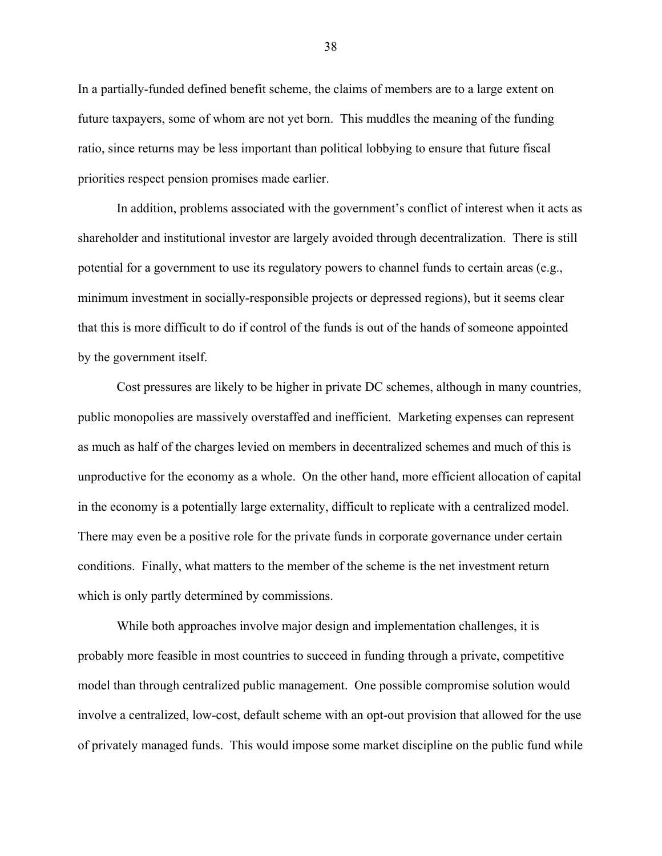In a partially-funded defined benefit scheme, the claims of members are to a large extent on future taxpayers, some of whom are not yet born. This muddles the meaning of the funding ratio, since returns may be less important than political lobbying to ensure that future fiscal priorities respect pension promises made earlier.

In addition, problems associated with the government's conflict of interest when it acts as shareholder and institutional investor are largely avoided through decentralization. There is still potential for a government to use its regulatory powers to channel funds to certain areas (e.g., minimum investment in socially-responsible projects or depressed regions), but it seems clear that this is more difficult to do if control of the funds is out of the hands of someone appointed by the government itself.

Cost pressures are likely to be higher in private DC schemes, although in many countries, public monopolies are massively overstaffed and inefficient. Marketing expenses can represent as much as half of the charges levied on members in decentralized schemes and much of this is unproductive for the economy as a whole. On the other hand, more efficient allocation of capital in the economy is a potentially large externality, difficult to replicate with a centralized model. There may even be a positive role for the private funds in corporate governance under certain conditions. Finally, what matters to the member of the scheme is the net investment return which is only partly determined by commissions.

While both approaches involve major design and implementation challenges, it is probably more feasible in most countries to succeed in funding through a private, competitive model than through centralized public management. One possible compromise solution would involve a centralized, low-cost, default scheme with an opt-out provision that allowed for the use of privately managed funds. This would impose some market discipline on the public fund while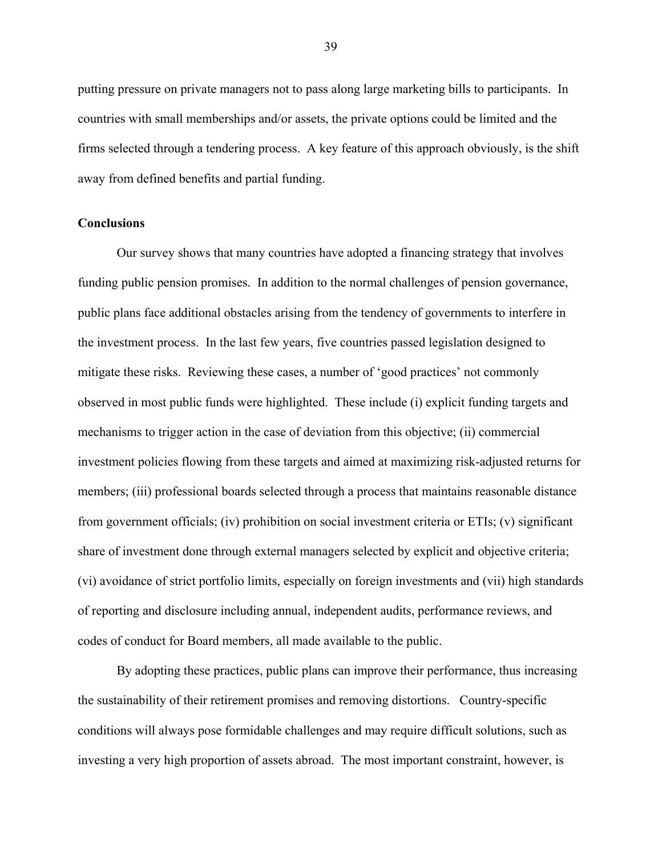putting pressure on private managers not to pass along large marketing bills to participants. In countries with small memberships and/or assets, the private options could be limited and the firms selected through a tendering process. A key feature of this approach obviously, is the shift away from defined benefits and partial funding.

### **Conclusions**

Our survey shows that many countries have adopted a financing strategy that involves funding public pension promises. In addition to the normal challenges of pension governance, public plans face additional obstacles arising from the tendency of governments to interfere in the investment process. In the last few years, five countries passed legislation designed to mitigate these risks. Reviewing these cases, a number of 'good practices' not commonly observed in most public funds were highlighted. These include (i) explicit funding targets and mechanisms to trigger action in the case of deviation from this objective; (ii) commercial investment policies flowing from these targets and aimed at maximizing risk-adjusted returns for members; (iii) professional boards selected through a process that maintains reasonable distance from government officials; (iv) prohibition on social investment criteria or ETIs; (v) significant share of investment done through external managers selected by explicit and objective criteria; (vi) avoidance of strict portfolio limits, especially on foreign investments and (vii) high standards of reporting and disclosure including annual, independent audits, performance reviews, and codes of conduct for Board members, all made available to the public.

By adopting these practices, public plans can improve their performance, thus increasing the sustainability of their retirement promises and removing distortions. Country-specific conditions will always pose formidable challenges and may require difficult solutions, such as investing a very high proportion of assets abroad. The most important constraint, however, is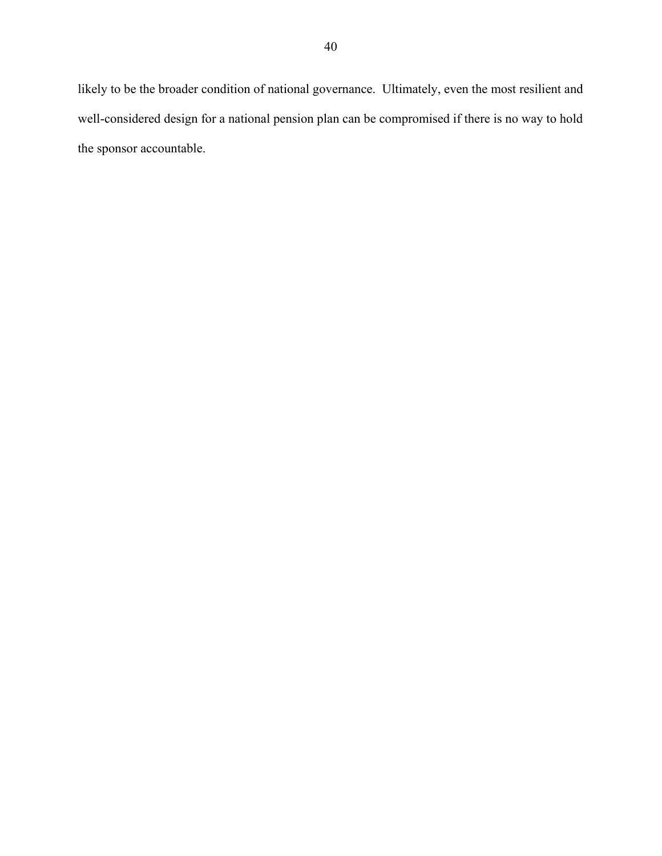likely to be the broader condition of national governance. Ultimately, even the most resilient and well-considered design for a national pension plan can be compromised if there is no way to hold the sponsor accountable.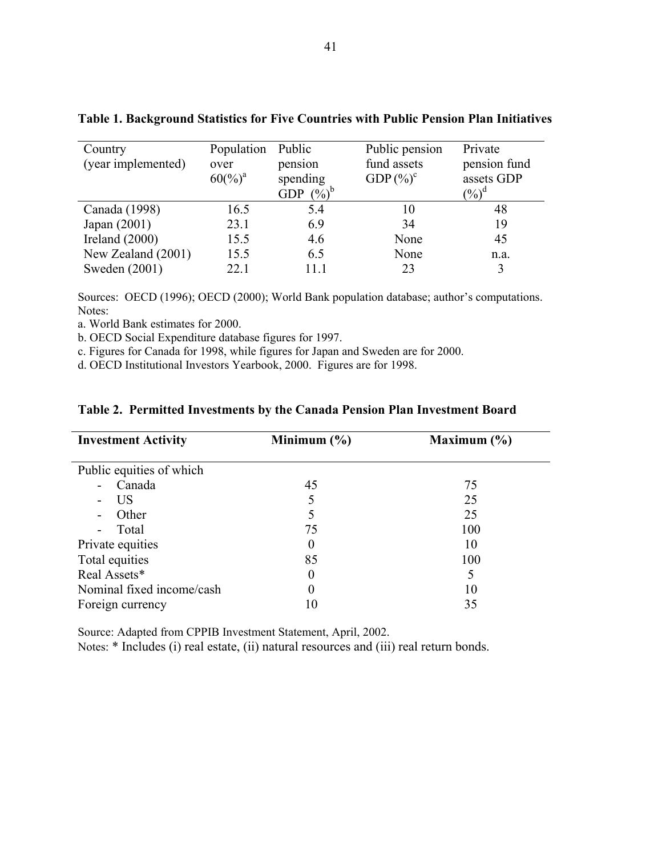| Country<br>(year implemented) | Population Public<br>over<br>$60\degree\%$ <sup>a</sup> | pension<br>spending<br>GDP $(\%)^b$ | Public pension<br>fund assets<br>$GDP(\%)^c$ | Private<br>pension fund<br>assets GDP<br>$(\%)^d$ |
|-------------------------------|---------------------------------------------------------|-------------------------------------|----------------------------------------------|---------------------------------------------------|
| Canada (1998)                 | 16.5                                                    | 5.4                                 | 10                                           | 48                                                |
| Japan (2001)                  | 23.1                                                    | 6.9                                 | 34                                           | 19                                                |
| Ireland $(2000)$              | 15.5                                                    | 4.6                                 | None                                         | 45                                                |
| New Zealand (2001)            | 15.5                                                    | 6.5                                 | None                                         | n.a.                                              |
| Sweden (2001)                 | 22.1                                                    | 11.1                                | 23                                           | 3                                                 |

# **Table 1. Background Statistics for Five Countries with Public Pension Plan Initiatives**

Sources: OECD (1996); OECD (2000); World Bank population database; author's computations. Notes:

a. World Bank estimates for 2000.

b. OECD Social Expenditure database figures for 1997.

c. Figures for Canada for 1998, while figures for Japan and Sweden are for 2000.

d. OECD Institutional Investors Yearbook, 2000. Figures are for 1998.

## **Table 2. Permitted Investments by the Canada Pension Plan Investment Board**

| <b>Investment Activity</b>                | Minimum $(\% )$ | Maximum $(\% )$ |
|-------------------------------------------|-----------------|-----------------|
| Public equities of which                  |                 |                 |
| Canada<br>$\blacksquare$                  | 45              | 75              |
| <b>US</b><br>$\qquad \qquad \blacksquare$ | 5               | 25              |
| Other                                     |                 | 25              |
| Total                                     | 75              | 100             |
| Private equities                          | 0               | 10              |
| Total equities                            | 85              | 100             |
| Real Assets*                              | 0               | 5               |
| Nominal fixed income/cash                 | 0               | 10              |
| Foreign currency                          | 10              | 35              |

Source: Adapted from CPPIB Investment Statement, April, 2002.

Notes: \* Includes (i) real estate, (ii) natural resources and (iii) real return bonds.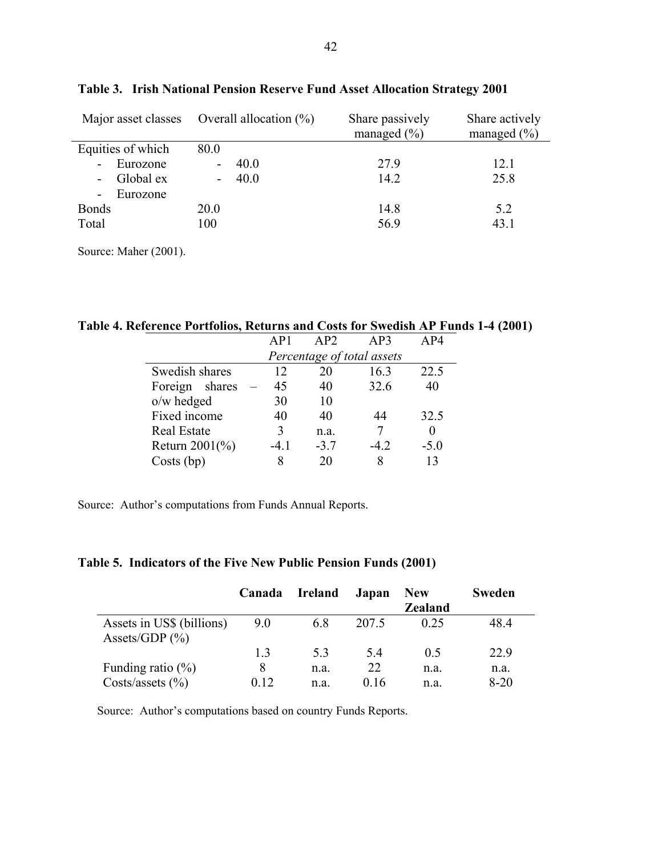|                            | Major asset classes Overall allocation $(\%)$ | Share passively<br>managed $(\% )$ | Share actively<br>managed $(\% )$ |
|----------------------------|-----------------------------------------------|------------------------------------|-----------------------------------|
| Equities of which          | 80.0                                          |                                    |                                   |
| Eurozone<br>$\blacksquare$ | 40.0<br>$\sim$                                | 27.9                               | 12.1                              |
| Global ex                  | 40.0                                          | 14.2                               | 25.8                              |
| Eurozone<br>$\overline{a}$ |                                               |                                    |                                   |
| <b>Bonds</b>               | 20.0                                          | 14.8                               | 5.2                               |
| Total                      | 100                                           | 56.9                               | 43.1                              |
|                            |                                               |                                    |                                   |

# **Table 3. Irish National Pension Reserve Fund Asset Allocation Strategy 2001**

Source: Maher (2001).

| Table 4. Reference Portfolios, Returns and Costs for Swedish AP Funds 1-4 (2001) |  |  |  |  |
|----------------------------------------------------------------------------------|--|--|--|--|
|----------------------------------------------------------------------------------|--|--|--|--|

|                          | AP1    | AP2    | AP3                        | AP4    |
|--------------------------|--------|--------|----------------------------|--------|
|                          |        |        | Percentage of total assets |        |
| Swedish shares           | 12     | 20     | 16.3                       | 22.5   |
| Foreign shares           | 45     | 40     | 32.6                       | 40     |
| $o/w$ hedged             | 30     | 10     |                            |        |
| Fixed income             | 40     | 40     | 44                         | 32.5   |
| <b>Real Estate</b>       | 3      | n.a.   |                            |        |
| Return $2001\frac{6}{6}$ | $-4.1$ | $-3.7$ | $-4.2$                     | $-5.0$ |
| $Costs$ (bp)             |        | 20     | 8                          | 13     |

Source: Author's computations from Funds Annual Reports.

# **Table 5. Indicators of the Five New Public Pension Funds (2001)**

|                                                 | Canada | <b>Ireland</b> | Japan | <b>New</b>     | <b>Sweden</b> |
|-------------------------------------------------|--------|----------------|-------|----------------|---------------|
|                                                 |        |                |       | <b>Zealand</b> |               |
| Assets in US\$ (billions)<br>Assets/GDP $(\% )$ | 9.0    | 6.8            | 207.5 | 0.25           | 48.4          |
|                                                 | 13     | 53             | 54    | 0.5            | 22.9          |
| Funding ratio $(\% )$                           | 8      | n.a.           | 22    | n.a.           | n.a.          |
| Costs/assets $(\% )$                            | 0 12   | n.a.           | 0 16  | n.a.           | $8 - 20$      |

Source: Author's computations based on country Funds Reports.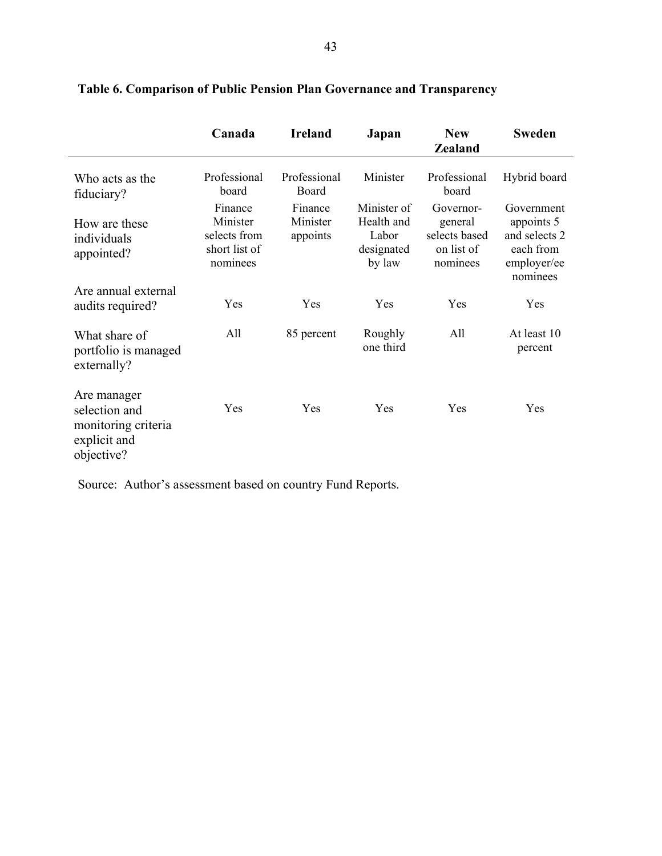|                                                                                   | Canada                                                           | <b>Ireland</b>                  | Japan                                                      | <b>New</b><br><b>Zealand</b>                                    | <b>Sweden</b>                                                                     |
|-----------------------------------------------------------------------------------|------------------------------------------------------------------|---------------------------------|------------------------------------------------------------|-----------------------------------------------------------------|-----------------------------------------------------------------------------------|
| Who acts as the<br>fiduciary?                                                     | Professional<br>board                                            | Professional<br><b>Board</b>    | Minister                                                   | Professional<br>board                                           | Hybrid board                                                                      |
| How are these<br>individuals<br>appointed?                                        | Finance<br>Minister<br>selects from<br>short list of<br>nominees | Finance<br>Minister<br>appoints | Minister of<br>Health and<br>Labor<br>designated<br>by law | Governor-<br>general<br>selects based<br>on list of<br>nominees | Government<br>appoints 5<br>and selects 2<br>each from<br>employer/ee<br>nominees |
| Are annual external<br>audits required?                                           | Yes                                                              | Yes                             | Yes                                                        | Yes                                                             | Yes                                                                               |
| What share of<br>portfolio is managed<br>externally?                              | All                                                              | 85 percent                      | Roughly<br>one third                                       | All                                                             | At least 10<br>percent                                                            |
| Are manager<br>selection and<br>monitoring criteria<br>explicit and<br>objective? | Yes                                                              | Yes                             | Yes                                                        | Yes                                                             | Yes                                                                               |

# **Table 6. Comparison of Public Pension Plan Governance and Transparency**

Source: Author's assessment based on country Fund Reports.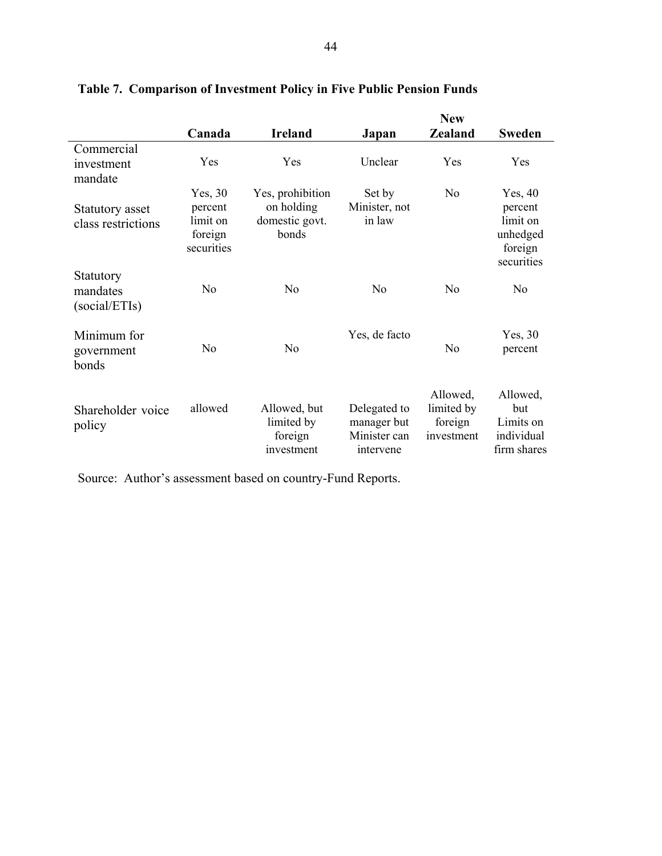|                                        | Canada                                                  | <b>Ireland</b>                                            | Japan                                                    | <b>New</b><br>Zealand                           | <b>Sweden</b>                                                       |
|----------------------------------------|---------------------------------------------------------|-----------------------------------------------------------|----------------------------------------------------------|-------------------------------------------------|---------------------------------------------------------------------|
| Commercial<br>investment<br>mandate    | Yes                                                     | Yes                                                       | Unclear                                                  | Yes                                             | Yes                                                                 |
| Statutory asset<br>class restrictions  | Yes, 30<br>percent<br>limit on<br>foreign<br>securities | Yes, prohibition<br>on holding<br>domestic govt.<br>bonds | Set by<br>Minister, not<br>in law                        | N <sub>0</sub>                                  | Yes, 40<br>percent<br>limit on<br>unhedged<br>foreign<br>securities |
| Statutory<br>mandates<br>(social/ETIs) | N <sub>0</sub>                                          | N <sub>0</sub>                                            | N <sub>0</sub>                                           | N <sub>0</sub>                                  | N <sub>0</sub>                                                      |
| Minimum for<br>government<br>bonds     | N <sub>0</sub>                                          | N <sub>0</sub>                                            | Yes, de facto                                            | No                                              | Yes, 30<br>percent                                                  |
| Shareholder voice<br>policy            | allowed                                                 | Allowed, but<br>limited by<br>foreign<br>investment       | Delegated to<br>manager but<br>Minister can<br>intervene | Allowed,<br>limited by<br>foreign<br>investment | Allowed,<br>but<br>Limits on<br>individual<br>firm shares           |

# **Table 7. Comparison of Investment Policy in Five Public Pension Funds**

Source: Author's assessment based on country-Fund Reports.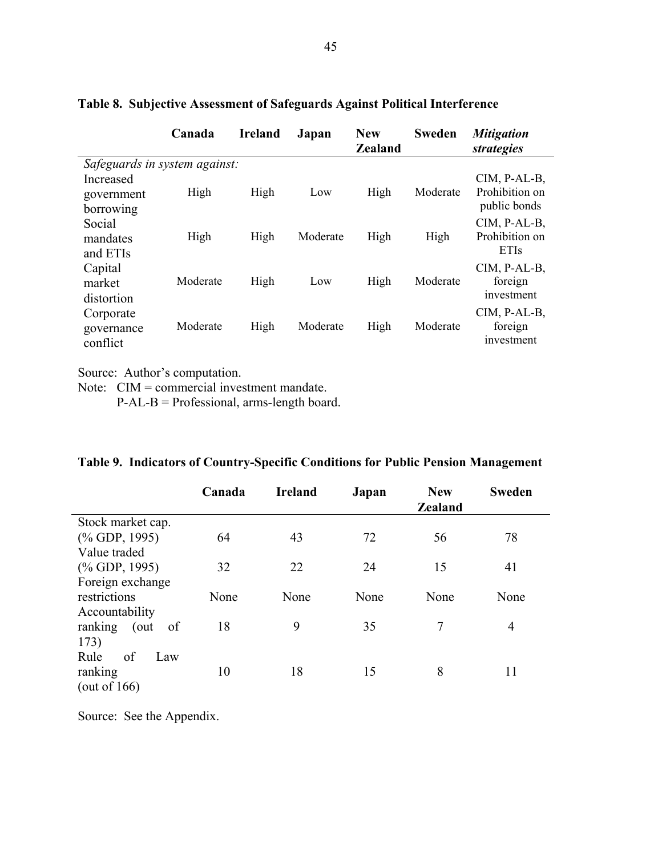|                                      | Canada   | <b>Ireland</b> | Japan    | <b>New</b><br><b>Zealand</b> | <b>Sweden</b> | <b>Mitigation</b><br>strategies                |
|--------------------------------------|----------|----------------|----------|------------------------------|---------------|------------------------------------------------|
| Safeguards in system against:        |          |                |          |                              |               |                                                |
| Increased<br>government<br>borrowing | High     | High           | Low      | High                         | Moderate      | CIM, P-AL-B,<br>Prohibition on<br>public bonds |
| Social<br>mandates<br>and ETIs       | High     | High           | Moderate | High                         | High          | CIM, P-AL-B,<br>Prohibition on<br><b>ETIS</b>  |
| Capital<br>market<br>distortion      | Moderate | High           | Low      | High                         | Moderate      | CIM, P-AL-B,<br>foreign<br>investment          |
| Corporate<br>governance<br>conflict  | Moderate | High           | Moderate | High                         | Moderate      | CIM, P-AL-B,<br>foreign<br>investment          |

# **Table 8. Subjective Assessment of Safeguards Against Political Interference**

Source: Author's computation.

Note: CIM = commercial investment mandate.

P-AL-B = Professional, arms-length board.

|                                                 | Canada | <b>Ireland</b> | Japan | <b>New</b><br><b>Zealand</b> | <b>Sweden</b> |
|-------------------------------------------------|--------|----------------|-------|------------------------------|---------------|
| Stock market cap.                               |        |                |       |                              |               |
| (% GDP, 1995)                                   | 64     | 43             | 72    | 56                           | 78            |
| Value traded                                    |        |                |       |                              |               |
| $(\%$ GDP, 1995)<br>Foreign exchange            | 32     | 22             | 24    | 15                           | 41            |
| restrictions<br>Accountability                  | None   | None           | None  | None                         | None          |
| ranking (out)<br>of<br>173)                     | 18     | 9              | 35    | 7                            | 4             |
| of<br>Rule<br>Law<br>ranking<br>(out of $166$ ) | 10     | 18             | 15    | 8                            | 11            |

| Table 9. Indicators of Country-Specific Conditions for Public Pension Management |  |  |  |
|----------------------------------------------------------------------------------|--|--|--|
|                                                                                  |  |  |  |

Source: See the Appendix.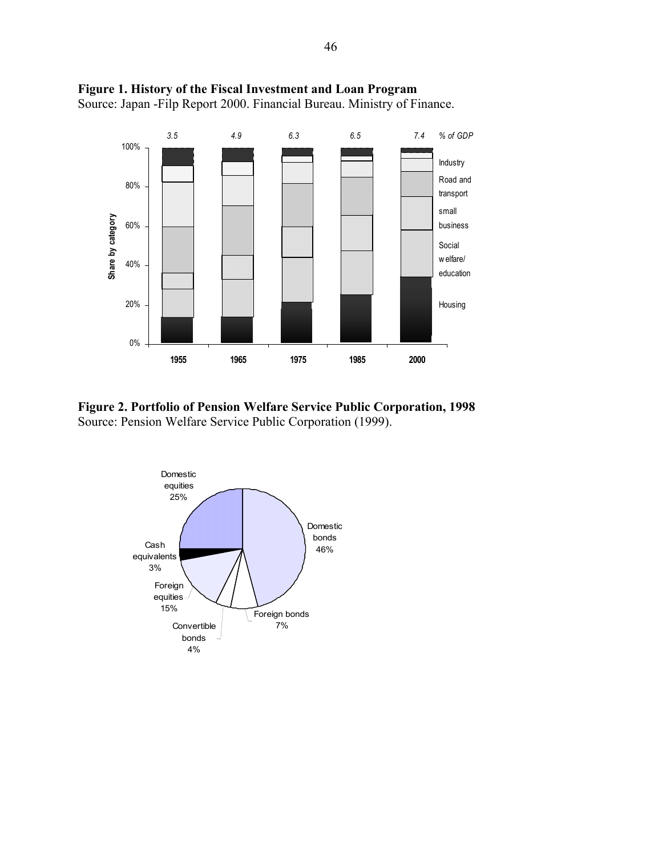

**Figure 1. History of the Fiscal Investment and Loan Program**  Source: Japan -Filp Report 2000. Financial Bureau. Ministry of Finance.

**Figure 2. Portfolio of Pension Welfare Service Public Corporation, 1998**  Source: Pension Welfare Service Public Corporation (1999).

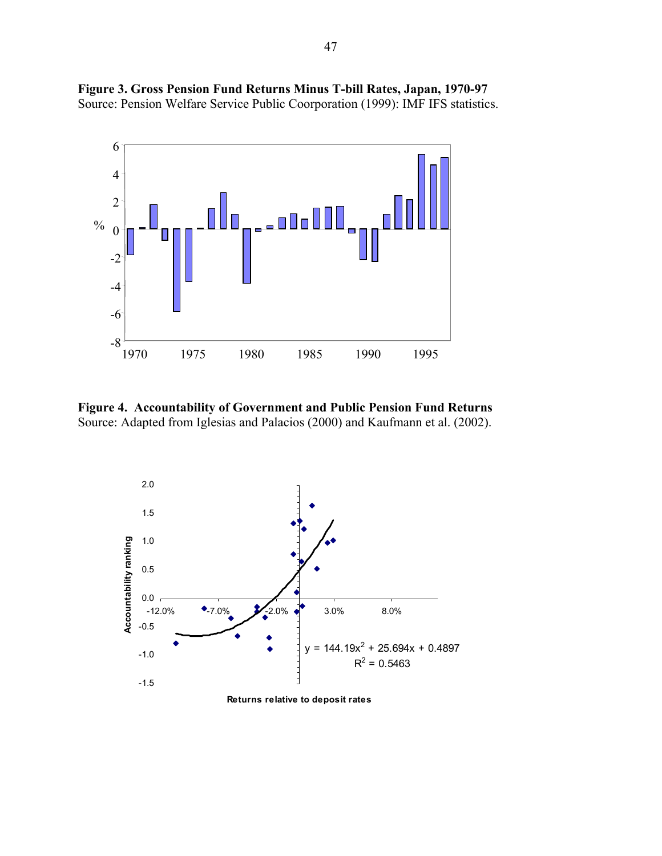

**Figure 3. Gross Pension Fund Returns Minus T-bill Rates, Japan, 1970-97**  Source: Pension Welfare Service Public Coorporation (1999): IMF IFS statistics.

**Figure 4. Accountability of Government and Public Pension Fund Returns**  Source: Adapted from Iglesias and Palacios (2000) and Kaufmann et al. (2002).

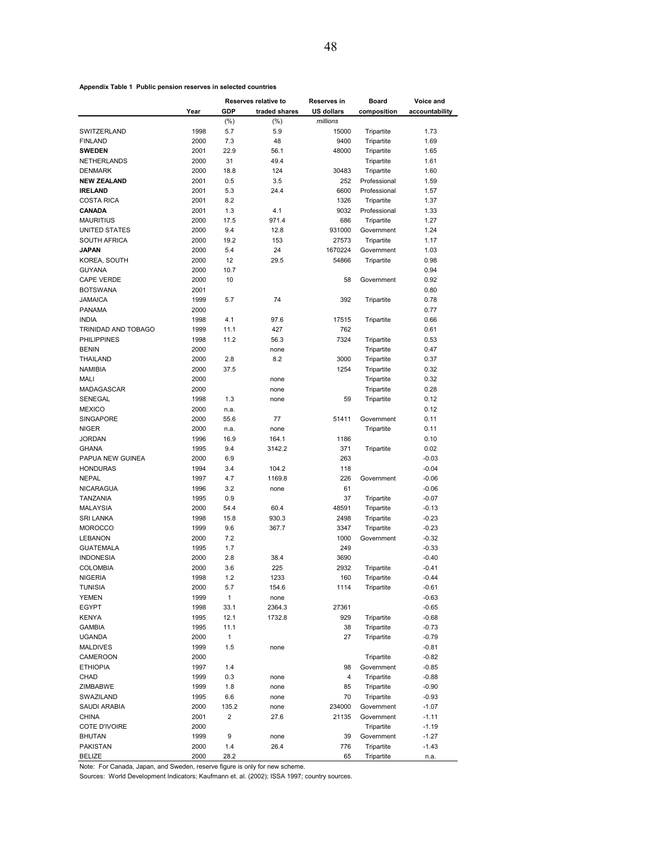**Appendix Table 1 Public pension reserves in selected countries**

|                                      |      |                         | Reserves relative to | Reserves in       | Board        | Voice and      |
|--------------------------------------|------|-------------------------|----------------------|-------------------|--------------|----------------|
|                                      | Year | <b>GDP</b>              | traded shares        | <b>US dollars</b> | composition  | accountability |
|                                      |      | $(\%)$                  | $(\%)$               | millions          |              |                |
| SWITZERLAND                          | 1998 | 5.7                     | 5.9                  | 15000             | Tripartite   | 1.73           |
| <b>FINLAND</b>                       | 2000 | 7.3                     | 48                   | 9400              | Tripartite   | 1.69           |
| <b>SWEDEN</b>                        | 2001 | 22.9                    | 56.1                 | 48000             | Tripartite   | 1.65           |
| NETHERLANDS                          | 2000 | 31                      | 49.4                 |                   | Tripartite   | 1.61           |
| <b>DENMARK</b>                       | 2000 | 18.8                    | 124                  | 30483             | Tripartite   | 1.60           |
| <b>NEW ZEALAND</b>                   | 2001 | 0.5                     | 3.5                  | 252               | Professional | 1.59           |
| <b>IRELAND</b>                       | 2001 | 5.3                     | 24.4                 | 6600              | Professional | 1.57           |
|                                      |      |                         |                      |                   |              |                |
| <b>COSTA RICA</b>                    | 2001 | 8.2                     |                      | 1326              | Tripartite   | 1.37           |
| <b>CANADA</b>                        | 2001 | 1.3                     | 4.1                  | 9032              | Professional | 1.33           |
| <b>MAURITIUS</b>                     | 2000 | 17.5                    | 971.4                | 686               | Tripartite   | 1.27           |
| <b>UNITED STATES</b>                 | 2000 | 9.4                     | 12.8                 | 931000            | Government   | 1.24           |
| <b>SOUTH AFRICA</b>                  | 2000 | 19.2                    | 153                  | 27573             | Tripartite   | 1.17           |
| <b>JAPAN</b>                         | 2000 | 5.4                     | 24                   | 1670224           | Government   | 1.03           |
| KOREA, SOUTH                         | 2000 | 12                      | 29.5                 | 54866             | Tripartite   | 0.98           |
| <b>GUYANA</b>                        | 2000 | 10.7                    |                      |                   |              | 0.94           |
| <b>CAPE VERDE</b>                    | 2000 | 10                      |                      | 58                | Government   | 0.92           |
| <b>BOTSWANA</b>                      | 2001 |                         |                      |                   |              | 0.80           |
| <b>JAMAICA</b>                       | 1999 | 5.7                     | 74                   | 392               | Tripartite   | 0.78           |
| <b>PANAMA</b>                        | 2000 |                         |                      |                   |              | 0.77           |
| <b>INDIA</b>                         | 1998 | 4.1                     | 97.6                 |                   |              |                |
|                                      |      |                         |                      | 17515             | Tripartite   | 0.66           |
| TRINIDAD AND TOBAGO                  | 1999 | 11.1                    | 427                  | 762               |              | 0.61           |
| <b>PHILIPPINES</b>                   | 1998 | 11.2                    | 56.3                 | 7324              | Tripartite   | 0.53           |
| <b>BENIN</b>                         | 2000 |                         | none                 |                   | Tripartite   | 0.47           |
| <b>THAILAND</b>                      | 2000 | 2.8                     | 8.2                  | 3000              | Tripartite   | 0.37           |
| <b>NAMIBIA</b>                       | 2000 | 37.5                    |                      | 1254              | Tripartite   | 0.32           |
| MALI                                 | 2000 |                         | none                 |                   | Tripartite   | 0.32           |
| <b>MADAGASCAR</b>                    | 2000 |                         | none                 |                   | Tripartite   | 0.28           |
| SENEGAL                              | 1998 | 1.3                     | none                 | 59                | Tripartite   | 0.12           |
| <b>MEXICO</b>                        | 2000 | n.a.                    |                      |                   |              | 0.12           |
| SINGAPORE                            | 2000 | 55.6                    | 77                   | 51411             | Government   | 0.11           |
| <b>NIGER</b>                         | 2000 | n.a.                    | none                 |                   | Tripartite   | 0.11           |
|                                      |      |                         |                      |                   |              |                |
| <b>JORDAN</b>                        | 1996 | 16.9                    | 164.1                | 1186              |              | 0.10           |
| <b>GHANA</b>                         | 1995 | 9.4                     | 3142.2               | 371               | Tripartite   | 0.02           |
| PAPUA NEW GUINEA                     | 2000 | 6.9                     |                      | 263               |              | $-0.03$        |
| <b>HONDURAS</b>                      | 1994 | 3.4                     | 104.2                | 118               |              | $-0.04$        |
| <b>NEPAL</b>                         | 1997 | 4.7                     | 1169.8               | 226               | Government   | $-0.06$        |
| <b>NICARAGUA</b>                     | 1996 | 3.2                     | none                 | 61                |              | $-0.06$        |
| <b>TANZANIA</b>                      | 1995 | 0.9                     |                      | 37                | Tripartite   | $-0.07$        |
| <b>MALAYSIA</b>                      | 2000 | 54.4                    | 60.4                 | 48591             | Tripartite   | $-0.13$        |
| <b>SRI LANKA</b>                     | 1998 | 15.8                    | 930.3                | 2498              | Tripartite   | $-0.23$        |
| <b>MOROCCO</b>                       | 1999 | 9.6                     | 367.7                | 3347              | Tripartite   | $-0.23$        |
| <b>LEBANON</b>                       | 2000 | 7.2                     |                      | 1000              | Government   | $-0.32$        |
|                                      |      | 1.7                     |                      | 249               |              |                |
| <b>GUATEMALA</b><br><b>INDONESIA</b> | 1995 | 2.8                     |                      |                   |              | $-0.33$        |
|                                      | 2000 |                         | 38.4                 | 3690              |              | $-0.40$        |
| <b>COLOMBIA</b>                      | 2000 | 3.6                     | 225                  | 2932              | Tripartite   | $-0.41$        |
| <b>NIGERIA</b>                       | 1998 | 1.2                     | 1233                 | 160               | Tripartite   | $-0.44$        |
| <b>TUNISIA</b>                       | 2000 | 5.7                     | 154.6                | 1114              | Tripartite   | $-0.61$        |
| <b>YEMEN</b>                         | 1999 | 1                       | none                 |                   |              | $-0.63$        |
| EGYPT                                | 1998 | 33.1                    | 2364.3               | 27361             |              | $-0.65$        |
| KENYA                                | 1995 | 12.1                    | 1732.8               | 929               | Tripartite   | $-0.68$        |
| <b>GAMBIA</b>                        | 1995 | 11.1                    |                      | 38                | Tripartite   | $-0.73$        |
| <b>UGANDA</b>                        | 2000 | $\mathbf{1}$            |                      | 27                | Tripartite   | $-0.79$        |
| <b>MALDIVES</b>                      | 1999 | 1.5                     | none                 |                   |              | $-0.81$        |
| CAMEROON                             | 2000 |                         |                      |                   | Tripartite   | $-0.82$        |
|                                      |      |                         |                      |                   |              |                |
| <b>ETHIOPIA</b>                      | 1997 | 1.4                     |                      | 98                | Government   | $-0.85$        |
| CHAD                                 | 1999 | 0.3                     | none                 | 4                 | Tripartite   | $-0.88$        |
| ZIMBABWE                             | 1999 | 1.8                     | none                 | 85                | Tripartite   | $-0.90$        |
| SWAZILAND                            | 1995 | 6.6                     | none                 | 70                | Tripartite   | $-0.93$        |
| SAUDI ARABIA                         | 2000 | 135.2                   | none                 | 234000            | Government   | $-1.07$        |
| <b>CHINA</b>                         | 2001 | $\overline{\mathbf{c}}$ | 27.6                 | 21135             | Government   | $-1.11$        |
| COTE D'IVOIRE                        | 2000 |                         |                      |                   | Tripartite   | $-1.19$        |
| <b>BHUTAN</b>                        | 1999 | 9                       | none                 | 39                | Government   | $-1.27$        |
| <b>PAKISTAN</b>                      | 2000 | 1.4                     | 26.4                 | 776               | Tripartite   | $-1.43$        |
| <b>BELIZE</b>                        | 2000 | 28.2                    |                      | 65                | Tripartite   | n.a.           |
|                                      |      |                         |                      |                   |              |                |

Note: For Canada, Japan, and Sweden, reserve figure is only for new scheme.

Sources: World Development Indicators; Kaufmann et. al. (2002); ISSA 1997; country sources.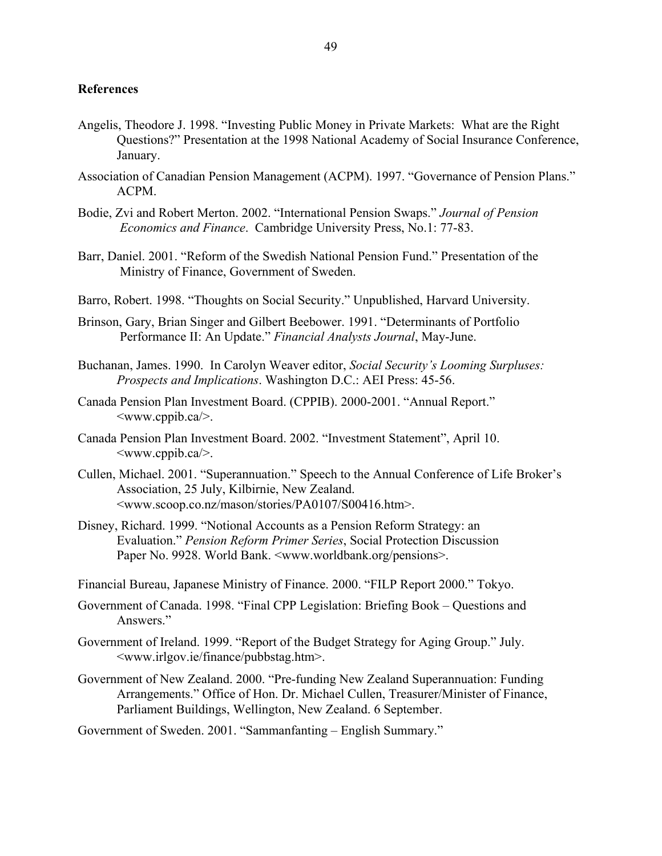# **References**

- Angelis, Theodore J. 1998. "Investing Public Money in Private Markets: What are the Right Questions?" Presentation at the 1998 National Academy of Social Insurance Conference, January.
- Association of Canadian Pension Management (ACPM). 1997. "Governance of Pension Plans." ACPM.
- Bodie, Zvi and Robert Merton. 2002. "International Pension Swaps." *Journal of Pension Economics and Finance*. Cambridge University Press, No.1: 77-83.
- Barr, Daniel. 2001. "Reform of the Swedish National Pension Fund." Presentation of the Ministry of Finance, Government of Sweden.
- Barro, Robert. 1998. "Thoughts on Social Security." Unpublished, Harvard University.
- Brinson, Gary, Brian Singer and Gilbert Beebower. 1991. "Determinants of Portfolio Performance II: An Update." *Financial Analysts Journal*, May-June.
- Buchanan, James. 1990. In Carolyn Weaver editor, *Social Security's Looming Surpluses: Prospects and Implications*. Washington D.C.: AEI Press: 45-56.
- Canada Pension Plan Investment Board. (CPPIB). 2000-2001. "Annual Report." <www.cppib.ca/>.
- Canada Pension Plan Investment Board. 2002. "Investment Statement", April 10. <www.cppib.ca/>.
- Cullen, Michael. 2001. "Superannuation." Speech to the Annual Conference of Life Broker's Association, 25 July, Kilbirnie, New Zealand. <www.scoop.co.nz/mason/stories/PA0107/S00416.htm>.
- Disney, Richard. 1999. "Notional Accounts as a Pension Reform Strategy: an Evaluation." *Pension Reform Primer Series*, Social Protection Discussion Paper No. 9928. World Bank. <www.worldbank.org/pensions>.
- Financial Bureau, Japanese Ministry of Finance. 2000. "FILP Report 2000." Tokyo.
- Government of Canada. 1998. "Final CPP Legislation: Briefing Book Questions and Answers."
- Government of Ireland. 1999. "Report of the Budget Strategy for Aging Group." July. <www.irlgov.ie/finance/pubbstag.htm>.
- Government of New Zealand. 2000. "Pre-funding New Zealand Superannuation: Funding Arrangements." Office of Hon. Dr. Michael Cullen, Treasurer/Minister of Finance, Parliament Buildings, Wellington, New Zealand. 6 September.
- Government of Sweden. 2001. "Sammanfanting English Summary."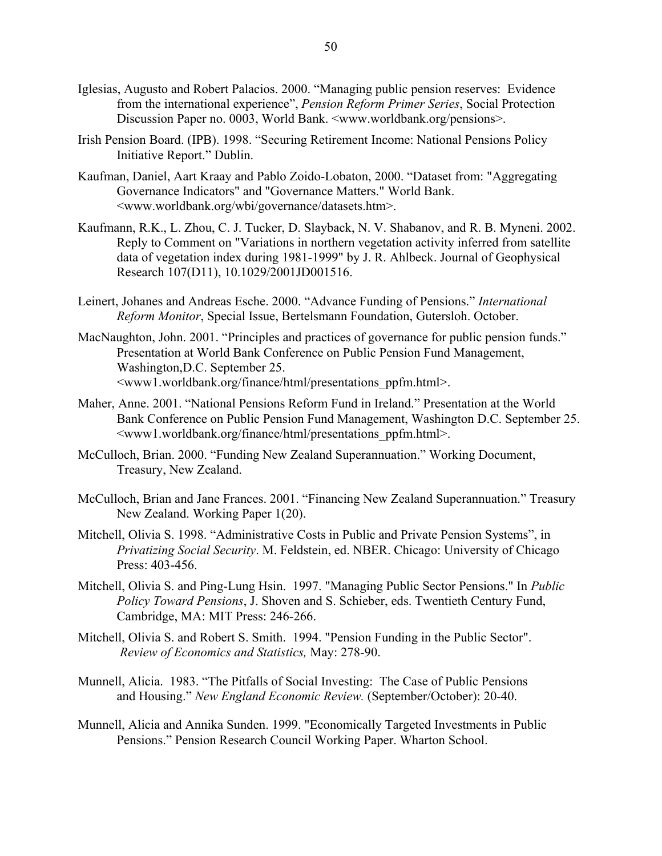- Iglesias, Augusto and Robert Palacios. 2000. "Managing public pension reserves: Evidence from the international experience", *Pension Reform Primer Series*, Social Protection Discussion Paper no. 0003, World Bank. <www.worldbank.org/pensions>.
- Irish Pension Board. (IPB). 1998. "Securing Retirement Income: National Pensions Policy Initiative Report." Dublin.
- Kaufman, Daniel, Aart Kraay and Pablo Zoido-Lobaton, 2000. "Dataset from: "Aggregating Governance Indicators" and "Governance Matters." World Bank. <www.worldbank.org/wbi/governance/datasets.htm>.
- Kaufmann, R.K., L. Zhou, C. J. Tucker, D. Slayback, N. V. [Shabanov,](http://cybele.bu.edu/download/manuscripts/kaufmann02.pdf) and R. B. Myneni. 2002. Reply to Comment on "Variations in northern vegetation activity inferred from satellite data of vegetation index during 1981-1999" by J. R. Ahlbeck. Journal of Geophysical Research 107(D11), 10.1029/2001JD001516.
- Leinert, Johanes and Andreas Esche. 2000. "Advance Funding of Pensions." *International Reform Monitor*, Special Issue, Bertelsmann Foundation, Gutersloh. October.
- MacNaughton, John. 2001. "Principles and practices of governance for public pension funds." Presentation at World Bank Conference on Public Pension Fund Management, Washington,D.C. September 25. <www1.worldbank.org/finance/html/presentations\_ppfm.html>.
- Maher, Anne. 2001. "National Pensions Reform Fund in Ireland." Presentation at the World Bank Conference on Public Pension Fund Management, Washington D.C. September 25. <www1.worldbank.org/finance/html/presentations\_ppfm.html>.
- McCulloch, Brian. 2000. "Funding New Zealand Superannuation." Working Document, Treasury, New Zealand.
- McCulloch, Brian and Jane Frances. 2001. "Financing New Zealand Superannuation." Treasury New Zealand. Working Paper 1(20).
- Mitchell, Olivia S. 1998. "Administrative Costs in Public and Private Pension Systems", in *Privatizing Social Security*. M. Feldstein, ed. NBER. Chicago: University of Chicago Press: 403-456.
- Mitchell, Olivia S. and Ping-Lung Hsin. 1997. "Managing Public Sector Pensions." In *Public Policy Toward Pensions*, J. Shoven and S. Schieber, eds. Twentieth Century Fund, Cambridge, MA: MIT Press: 246-266.
- Mitchell, Olivia S. and Robert S. Smith. 1994. "Pension Funding in the Public Sector". *Review of Economics and Statistics,* May: 278-90.
- Munnell, Alicia. 1983. "The Pitfalls of Social Investing: The Case of Public Pensions and Housing." *New England Economic Review.* (September/October): 20-40.
- Munnell, Alicia and Annika Sunden. 1999. "Economically Targeted Investments in Public Pensions." Pension Research Council Working Paper. Wharton School.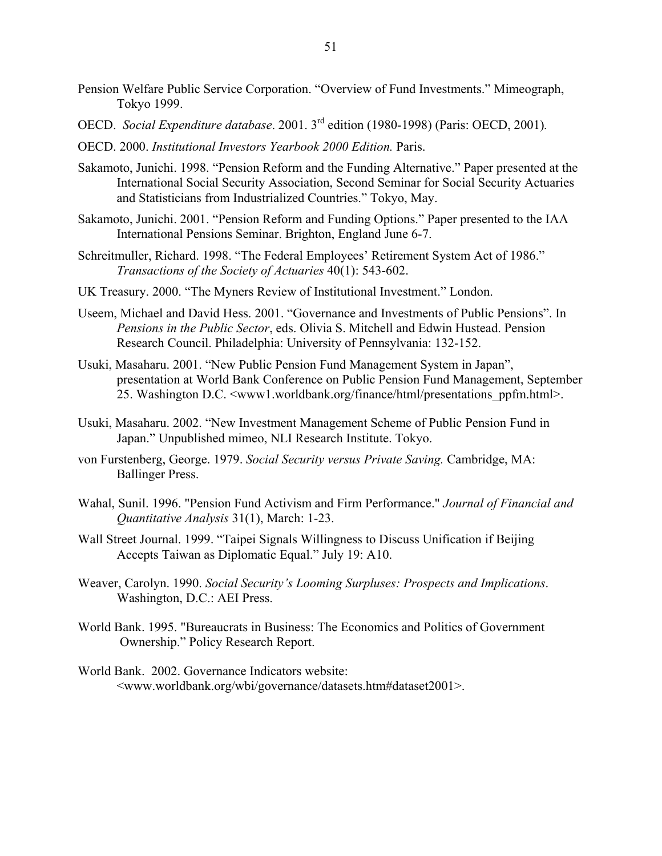- Pension Welfare Public Service Corporation. "Overview of Fund Investments." Mimeograph, Tokyo 1999.
- OECD. *Social Expenditure database*. 2001. 3rd edition (1980-1998) (Paris: OECD, 2001)*.*
- OECD. 2000. *Institutional Investors Yearbook 2000 Edition.* Paris.
- Sakamoto, Junichi. 1998. "Pension Reform and the Funding Alternative." Paper presented at the International Social Security Association, Second Seminar for Social Security Actuaries and Statisticians from Industrialized Countries." Tokyo, May.
- Sakamoto, Junichi. 2001. "Pension Reform and Funding Options." Paper presented to the IAA International Pensions Seminar. Brighton, England June 6-7.
- Schreitmuller, Richard. 1998. "The Federal Employees' Retirement System Act of 1986." *Transactions of the Society of Actuaries* 40(1): 543-602.
- UK Treasury. 2000. "The Myners Review of Institutional Investment." London.
- Useem, Michael and David Hess. 2001. "Governance and Investments of Public Pensions". In *Pensions in the Public Sector*, eds. Olivia S. Mitchell and Edwin Hustead. Pension Research Council. Philadelphia: University of Pennsylvania: 132-152.
- Usuki, Masaharu. 2001. "New Public Pension Fund Management System in Japan", presentation at World Bank Conference on Public Pension Fund Management, September 25. Washington D.C. <www1.worldbank.org/finance/html/presentations\_ppfm.html>.
- Usuki, Masaharu. 2002. "New Investment Management Scheme of Public Pension Fund in Japan." Unpublished mimeo, NLI Research Institute. Tokyo.
- von Furstenberg, George. 1979. *Social Security versus Private Saving.* Cambridge, MA: Ballinger Press.
- Wahal, Sunil. 1996. "Pension Fund Activism and Firm Performance." *Journal of Financial and Quantitative Analysis* 31(1), March: 1-23.
- Wall Street Journal. 1999. "Taipei Signals Willingness to Discuss Unification if Beijing Accepts Taiwan as Diplomatic Equal." July 19: A10.
- Weaver, Carolyn. 1990. *Social Security's Looming Surpluses: Prospects and Implications*. Washington, D.C.: AEI Press.
- World Bank. 1995. "Bureaucrats in Business: The Economics and Politics of Government Ownership." Policy Research Report.
- World Bank. 2002. Governance Indicators website: <www.worldbank.org/wbi/governance/datasets.htm#dataset2001>.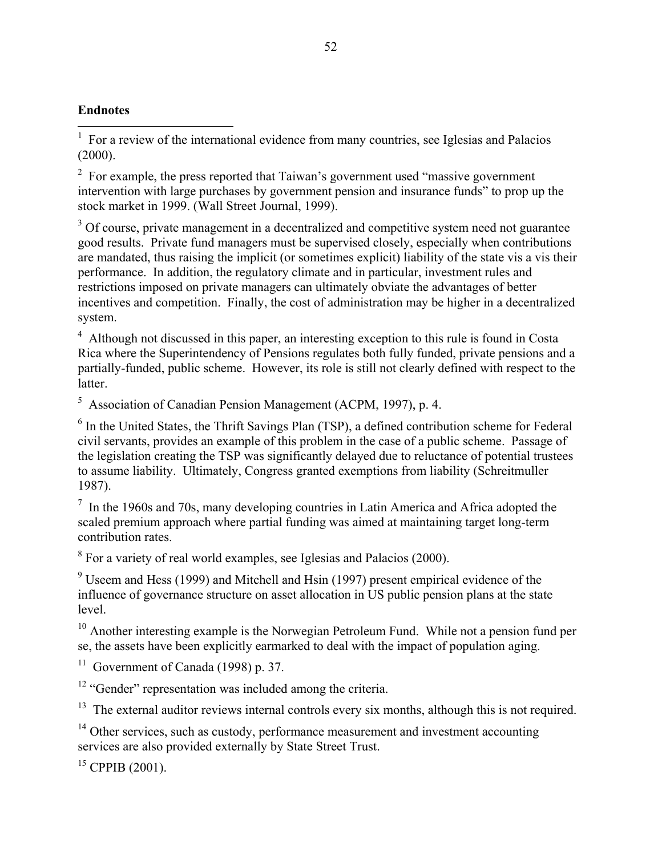# **Endnotes**

<sup>1</sup> For a review of the international evidence from many countries, see Iglesias and Palacios  $(2000).$ 

 $2^2$  For example, the press reported that Taiwan's government used "massive government" intervention with large purchases by government pension and insurance funds" to prop up the stock market in 1999. (Wall Street Journal, 1999).

 $3$  Of course, private management in a decentralized and competitive system need not guarantee good results. Private fund managers must be supervised closely, especially when contributions are mandated, thus raising the implicit (or sometimes explicit) liability of the state vis a vis their performance. In addition, the regulatory climate and in particular, investment rules and restrictions imposed on private managers can ultimately obviate the advantages of better incentives and competition. Finally, the cost of administration may be higher in a decentralized system.

<sup>4</sup> Although not discussed in this paper, an interesting exception to this rule is found in Costa Rica where the Superintendency of Pensions regulates both fully funded, private pensions and a partially-funded, public scheme. However, its role is still not clearly defined with respect to the **latter** 

<sup>5</sup> Association of Canadian Pension Management (ACPM, 1997), p. 4.

<sup>6</sup> In the United States, the Thrift Savings Plan (TSP), a defined contribution scheme for Federal civil servants, provides an example of this problem in the case of a public scheme. Passage of the legislation creating the TSP was significantly delayed due to reluctance of potential trustees to assume liability. Ultimately, Congress granted exemptions from liability (Schreitmuller 1987).

 $7$  In the 1960s and 70s, many developing countries in Latin America and Africa adopted the scaled premium approach where partial funding was aimed at maintaining target long-term contribution rates.

 $8 \text{ For a variety of real world examples, see Iglesias and Palacios (2000).}$ 

 $9^9$  Useem and Hess (1999) and Mitchell and Hsin (1997) present empirical evidence of the influence of governance structure on asset allocation in US public pension plans at the state level.

<sup>10</sup> Another interesting example is the Norwegian Petroleum Fund. While not a pension fund per se, the assets have been explicitly earmarked to deal with the impact of population aging.

<sup>11</sup> Government of Canada (1998) p. 37.

<sup>12</sup> "Gender" representation was included among the criteria.

<sup>13</sup> The external auditor reviews internal controls every six months, although this is not required.

<sup>14</sup> Other services, such as custody, performance measurement and investment accounting services are also provided externally by State Street Trust.

 $15$  CPPIB (2001).